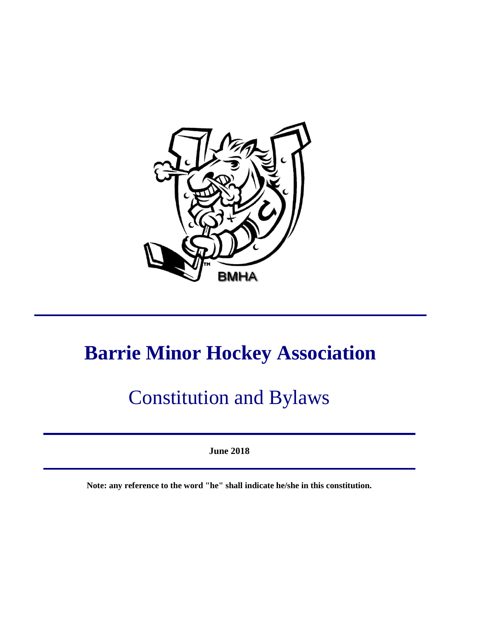

# **Barrie Minor Hockey Association**

# Constitution and Bylaws

**June 2018**

**Note: any reference to the word "he" shall indicate he/she in this constitution.**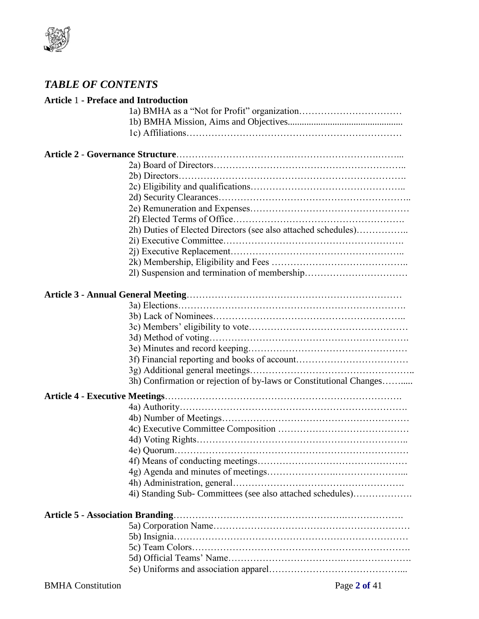

# *TABLE OF CONTENTS*

| <b>Article 1 - Preface and Introduction</b> |                                                                    |
|---------------------------------------------|--------------------------------------------------------------------|
|                                             |                                                                    |
|                                             |                                                                    |
|                                             |                                                                    |
|                                             |                                                                    |
|                                             |                                                                    |
|                                             |                                                                    |
|                                             |                                                                    |
|                                             |                                                                    |
|                                             |                                                                    |
|                                             |                                                                    |
|                                             | 2h) Duties of Elected Directors (see also attached schedules)      |
|                                             |                                                                    |
|                                             |                                                                    |
|                                             |                                                                    |
|                                             |                                                                    |
|                                             |                                                                    |
|                                             |                                                                    |
|                                             |                                                                    |
|                                             |                                                                    |
|                                             |                                                                    |
|                                             |                                                                    |
|                                             |                                                                    |
|                                             |                                                                    |
|                                             | 3h) Confirmation or rejection of by-laws or Constitutional Changes |
|                                             |                                                                    |
|                                             |                                                                    |
|                                             |                                                                    |
|                                             |                                                                    |
|                                             |                                                                    |
|                                             |                                                                    |
|                                             |                                                                    |
|                                             |                                                                    |
|                                             |                                                                    |
|                                             | 4i) Standing Sub- Committees (see also attached schedules)         |
| <b>Article 5 - Association Branding.</b>    |                                                                    |
|                                             |                                                                    |
|                                             |                                                                    |
|                                             |                                                                    |
|                                             |                                                                    |
|                                             |                                                                    |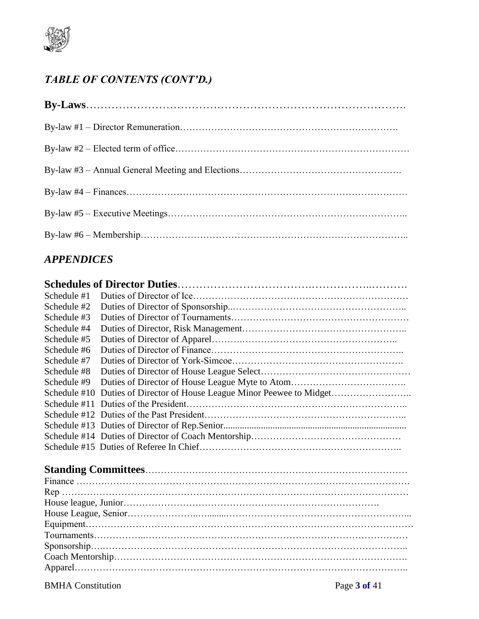

# *TABLE OF CONTENTS (CONT'D.)*

# *APPENDICES*

| Schedule #1    |                                                           |  |
|----------------|-----------------------------------------------------------|--|
| Schedule #2    |                                                           |  |
| Schedule #3    |                                                           |  |
| Schedule #4    |                                                           |  |
| Schedule #5    |                                                           |  |
| Schedule #6    |                                                           |  |
| Schedule #7    |                                                           |  |
| Schedule #8    |                                                           |  |
| Schedule #9    |                                                           |  |
| Schedule $#10$ | Duties of Director of House League Minor Peewee to Midget |  |
|                |                                                           |  |
|                |                                                           |  |
|                |                                                           |  |
|                |                                                           |  |
|                |                                                           |  |
|                |                                                           |  |
|                |                                                           |  |
|                |                                                           |  |
|                |                                                           |  |
|                |                                                           |  |
|                |                                                           |  |
|                |                                                           |  |
|                |                                                           |  |
|                |                                                           |  |

BMHA Constitution Page **3 of** 41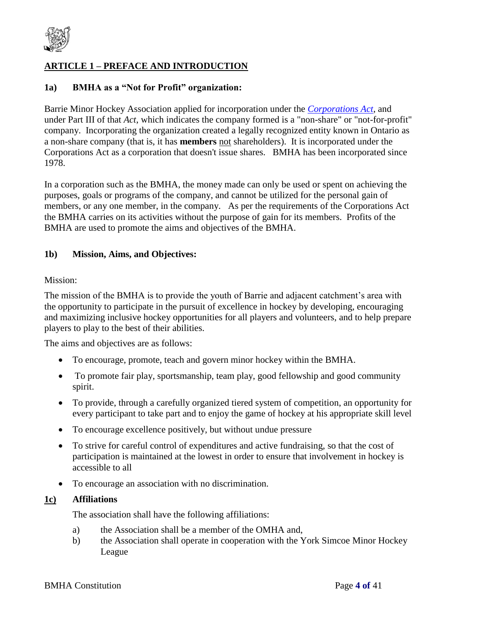

# **ARTICLE 1 – PREFACE AND INTRODUCTION**

#### **1a) BMHA as a "Not for Profit" organization:**

Barrie Minor Hockey Association applied for incorporation under the *[Corporations Act](http://www.e-laws.gov.on.ca/html/statutes/english/elaws_statutes_90c38_e.htm)*, and under Part III of that *Act*, which indicates the company formed is a "non-share" or "not-for-profit" company. Incorporating the organization created a legally recognized entity known in Ontario as a non-share company (that is, it has **members** not shareholders). It is incorporated under the Corporations Act as a corporation that doesn't issue shares. BMHA has been incorporated since 1978.

In a corporation such as the BMHA, the money made can only be used or spent on achieving the purposes, goals or programs of the company, and cannot be utilized for the personal gain of members, or any one member, in the company. As per the requirements of the Corporations Act the BMHA carries on its activities without the purpose of gain for its members. Profits of the BMHA are used to promote the aims and objectives of the BMHA.

#### **1b) Mission, Aims, and Objectives:**

#### Mission:

The mission of the BMHA is to provide the youth of Barrie and adjacent catchment's area with the opportunity to participate in the pursuit of excellence in hockey by developing, encouraging and maximizing inclusive hockey opportunities for all players and volunteers, and to help prepare players to play to the best of their abilities.

The aims and objectives are as follows:

- To encourage, promote, teach and govern minor hockey within the BMHA.
- To promote fair play, sportsmanship, team play, good fellowship and good community spirit.
- To provide, through a carefully organized tiered system of competition, an opportunity for every participant to take part and to enjoy the game of hockey at his appropriate skill level
- To encourage excellence positively, but without undue pressure
- To strive for careful control of expenditures and active fundraising, so that the cost of participation is maintained at the lowest in order to ensure that involvement in hockey is accessible to all
- To encourage an association with no discrimination.

#### **1c) Affiliations**

The association shall have the following affiliations:

- a) the Association shall be a member of the OMHA and,
- b) the Association shall operate in cooperation with the York Simcoe Minor Hockey League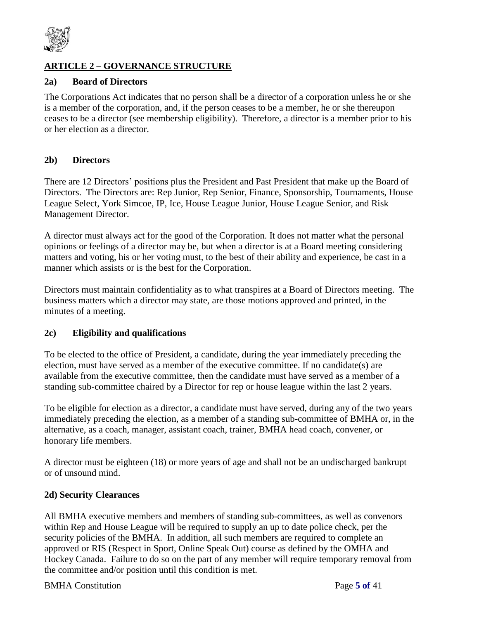

# **ARTICLE 2 – GOVERNANCE STRUCTURE**

# **2a) Board of Directors**

The Corporations Act indicates that no person shall be a director of a corporation unless he or she is a member of the corporation, and, if the person ceases to be a member, he or she thereupon ceases to be a director (see membership eligibility). Therefore, a director is a member prior to his or her election as a director.

### **2b) Directors**

There are 12 Directors' positions plus the President and Past President that make up the Board of Directors. The Directors are: Rep Junior, Rep Senior, Finance, Sponsorship, Tournaments, House League Select, York Simcoe, IP, Ice, House League Junior, House League Senior, and Risk Management Director.

A director must always act for the good of the Corporation. It does not matter what the personal opinions or feelings of a director may be, but when a director is at a Board meeting considering matters and voting, his or her voting must, to the best of their ability and experience, be cast in a manner which assists or is the best for the Corporation.

Directors must maintain confidentiality as to what transpires at a Board of Directors meeting. The business matters which a director may state, are those motions approved and printed, in the minutes of a meeting.

#### **2c) Eligibility and qualifications**

To be elected to the office of President, a candidate, during the year immediately preceding the election, must have served as a member of the executive committee. If no candidate(s) are available from the executive committee, then the candidate must have served as a member of a standing sub-committee chaired by a Director for rep or house league within the last 2 years.

To be eligible for election as a director, a candidate must have served, during any of the two years immediately preceding the election, as a member of a standing sub-committee of BMHA or, in the alternative, as a coach, manager, assistant coach, trainer, BMHA head coach, convener, or honorary life members.

A director must be eighteen (18) or more years of age and shall not be an undischarged bankrupt or of unsound mind.

#### **2d) Security Clearances**

All BMHA executive members and members of standing sub-committees, as well as convenors within Rep and House League will be required to supply an up to date police check, per the security policies of the BMHA. In addition, all such members are required to complete an approved or RIS (Respect in Sport, Online Speak Out) course as defined by the OMHA and Hockey Canada. Failure to do so on the part of any member will require temporary removal from the committee and/or position until this condition is met.

#### BMHA Constitution Page **5 of** 41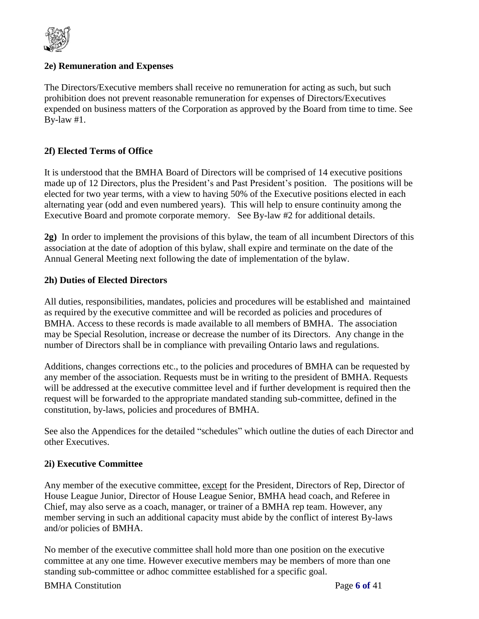

### **2e) Remuneration and Expenses**

The Directors/Executive members shall receive no remuneration for acting as such, but such prohibition does not prevent reasonable remuneration for expenses of Directors/Executives expended on business matters of the Corporation as approved by the Board from time to time. See By-law #1.

# **2f) Elected Terms of Office**

It is understood that the BMHA Board of Directors will be comprised of 14 executive positions made up of 12 Directors, plus the President's and Past President's position. The positions will be elected for two year terms, with a view to having 50% of the Executive positions elected in each alternating year (odd and even numbered years). This will help to ensure continuity among the Executive Board and promote corporate memory. See By-law #2 for additional details.

**2g)** In order to implement the provisions of this bylaw, the team of all incumbent Directors of this association at the date of adoption of this bylaw, shall expire and terminate on the date of the Annual General Meeting next following the date of implementation of the bylaw.

### **2h) Duties of Elected Directors**

All duties, responsibilities, mandates, policies and procedures will be established and maintained as required by the executive committee and will be recorded as policies and procedures of BMHA. Access to these records is made available to all members of BMHA. The association may be Special Resolution, increase or decrease the number of its Directors. Any change in the number of Directors shall be in compliance with prevailing Ontario laws and regulations.

Additions, changes corrections etc., to the policies and procedures of BMHA can be requested by any member of the association. Requests must be in writing to the president of BMHA. Requests will be addressed at the executive committee level and if further development is required then the request will be forwarded to the appropriate mandated standing sub-committee, defined in the constitution, by-laws, policies and procedures of BMHA.

See also the Appendices for the detailed "schedules" which outline the duties of each Director and other Executives.

#### **2i) Executive Committee**

Any member of the executive committee, except for the President, Directors of Rep, Director of House League Junior, Director of House League Senior, BMHA head coach, and Referee in Chief, may also serve as a coach, manager, or trainer of a BMHA rep team. However, any member serving in such an additional capacity must abide by the conflict of interest By-laws and/or policies of BMHA.

No member of the executive committee shall hold more than one position on the executive committee at any one time. However executive members may be members of more than one standing sub-committee or adhoc committee established for a specific goal.

#### BMHA Constitution Page **6 of** 41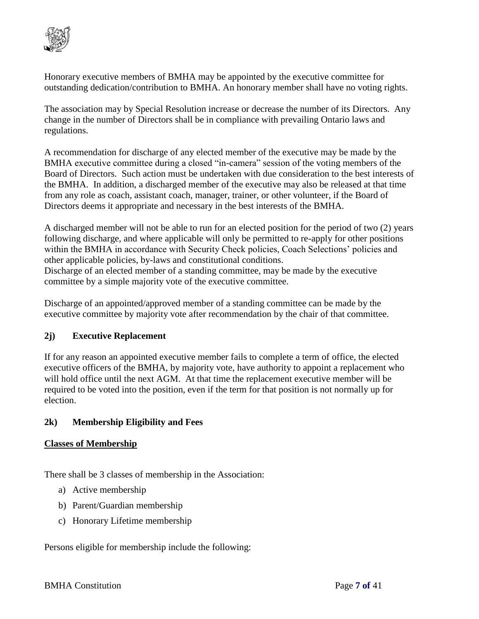

Honorary executive members of BMHA may be appointed by the executive committee for outstanding dedication/contribution to BMHA. An honorary member shall have no voting rights.

The association may by Special Resolution increase or decrease the number of its Directors. Any change in the number of Directors shall be in compliance with prevailing Ontario laws and regulations.

A recommendation for discharge of any elected member of the executive may be made by the BMHA executive committee during a closed "in-camera" session of the voting members of the Board of Directors. Such action must be undertaken with due consideration to the best interests of the BMHA. In addition, a discharged member of the executive may also be released at that time from any role as coach, assistant coach, manager, trainer, or other volunteer, if the Board of Directors deems it appropriate and necessary in the best interests of the BMHA.

A discharged member will not be able to run for an elected position for the period of two (2) years following discharge, and where applicable will only be permitted to re-apply for other positions within the BMHA in accordance with Security Check policies, Coach Selections' policies and other applicable policies, by-laws and constitutional conditions.

Discharge of an elected member of a standing committee, may be made by the executive committee by a simple majority vote of the executive committee.

Discharge of an appointed/approved member of a standing committee can be made by the executive committee by majority vote after recommendation by the chair of that committee.

# **2j) Executive Replacement**

If for any reason an appointed executive member fails to complete a term of office, the elected executive officers of the BMHA, by majority vote, have authority to appoint a replacement who will hold office until the next AGM. At that time the replacement executive member will be required to be voted into the position, even if the term for that position is not normally up for election.

# **2k) Membership Eligibility and Fees**

# **Classes of Membership**

There shall be 3 classes of membership in the Association:

- a) Active membership
- b) Parent/Guardian membership
- c) Honorary Lifetime membership

Persons eligible for membership include the following: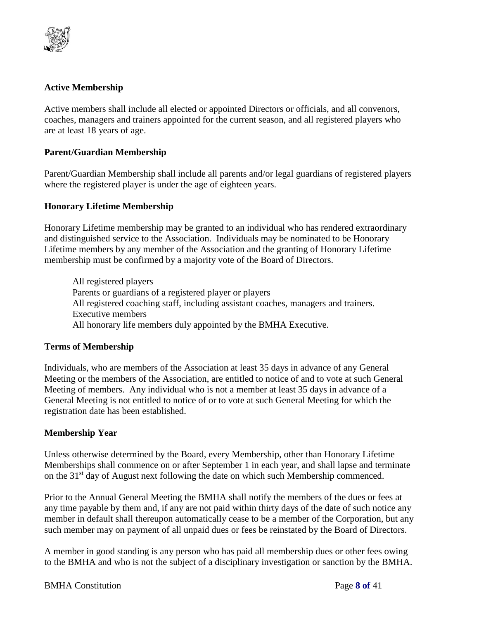

# **Active Membership**

Active members shall include all elected or appointed Directors or officials, and all convenors, coaches, managers and trainers appointed for the current season, and all registered players who are at least 18 years of age.

#### **Parent/Guardian Membership**

Parent/Guardian Membership shall include all parents and/or legal guardians of registered players where the registered player is under the age of eighteen years.

#### **Honorary Lifetime Membership**

Honorary Lifetime membership may be granted to an individual who has rendered extraordinary and distinguished service to the Association. Individuals may be nominated to be Honorary Lifetime members by any member of the Association and the granting of Honorary Lifetime membership must be confirmed by a majority vote of the Board of Directors.

All registered players Parents or guardians of a registered player or players All registered coaching staff, including assistant coaches, managers and trainers. Executive members All honorary life members duly appointed by the BMHA Executive.

#### **Terms of Membership**

Individuals, who are members of the Association at least 35 days in advance of any General Meeting or the members of the Association, are entitled to notice of and to vote at such General Meeting of members. Any individual who is not a member at least 35 days in advance of a General Meeting is not entitled to notice of or to vote at such General Meeting for which the registration date has been established.

#### **Membership Year**

Unless otherwise determined by the Board, every Membership, other than Honorary Lifetime Memberships shall commence on or after September 1 in each year, and shall lapse and terminate on the 31<sup>st</sup> day of August next following the date on which such Membership commenced.

Prior to the Annual General Meeting the BMHA shall notify the members of the dues or fees at any time payable by them and, if any are not paid within thirty days of the date of such notice any member in default shall thereupon automatically cease to be a member of the Corporation, but any such member may on payment of all unpaid dues or fees be reinstated by the Board of Directors.

A member in good standing is any person who has paid all membership dues or other fees owing to the BMHA and who is not the subject of a disciplinary investigation or sanction by the BMHA.

#### **BMHA** Constitution **Page 8 of 41**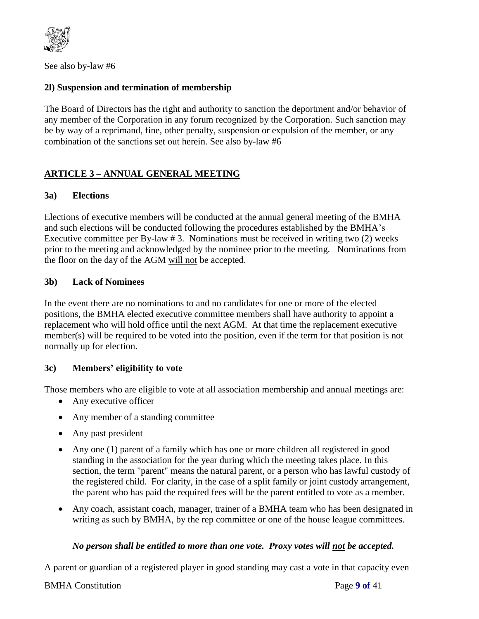

See also by-law #6

# **2l) Suspension and termination of membership**

The Board of Directors has the right and authority to sanction the deportment and/or behavior of any member of the Corporation in any forum recognized by the Corporation. Such sanction may be by way of a reprimand, fine, other penalty, suspension or expulsion of the member, or any combination of the sanctions set out herein. See also by-law #6

# **ARTICLE 3 – ANNUAL GENERAL MEETING**

### **3a) Elections**

Elections of executive members will be conducted at the annual general meeting of the BMHA and such elections will be conducted following the procedures established by the BMHA's Executive committee per By-law # 3. Nominations must be received in writing two (2) weeks prior to the meeting and acknowledged by the nominee prior to the meeting. Nominations from the floor on the day of the AGM will not be accepted.

### **3b) Lack of Nominees**

In the event there are no nominations to and no candidates for one or more of the elected positions, the BMHA elected executive committee members shall have authority to appoint a replacement who will hold office until the next AGM. At that time the replacement executive member(s) will be required to be voted into the position, even if the term for that position is not normally up for election.

# **3c) Members' eligibility to vote**

Those members who are eligible to vote at all association membership and annual meetings are:

- Any executive officer
- Any member of a standing committee
- Any past president
- Any one (1) parent of a family which has one or more children all registered in good standing in the association for the year during which the meeting takes place. In this section, the term "parent" means the natural parent, or a person who has lawful custody of the registered child. For clarity, in the case of a split family or joint custody arrangement, the parent who has paid the required fees will be the parent entitled to vote as a member.
- Any coach, assistant coach, manager, trainer of a BMHA team who has been designated in writing as such by BMHA, by the rep committee or one of the house league committees.

#### *No person shall be entitled to more than one vote. Proxy votes will not be accepted.*

A parent or guardian of a registered player in good standing may cast a vote in that capacity even

### BMHA Constitution Page **9 of** 41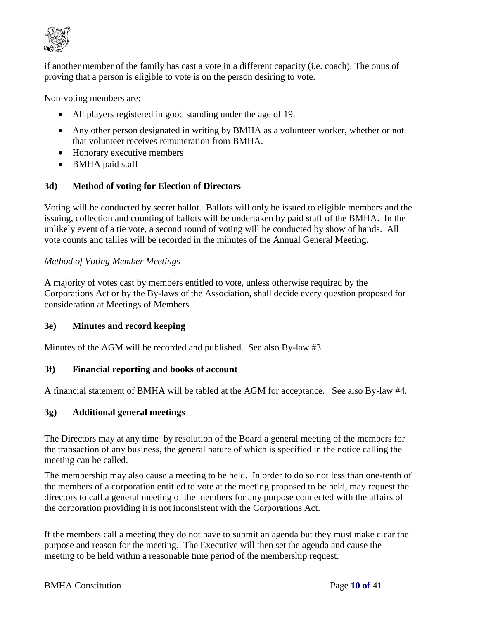

if another member of the family has cast a vote in a different capacity (i.e. coach). The onus of proving that a person is eligible to vote is on the person desiring to vote.

Non-voting members are:

- All players registered in good standing under the age of 19.
- Any other person designated in writing by BMHA as a volunteer worker, whether or not that volunteer receives remuneration from BMHA.
- Honorary executive members
- BMHA paid staff

#### **3d) Method of voting for Election of Directors**

Voting will be conducted by secret ballot. Ballots will only be issued to eligible members and the issuing, collection and counting of ballots will be undertaken by paid staff of the BMHA. In the unlikely event of a tie vote, a second round of voting will be conducted by show of hands. All vote counts and tallies will be recorded in the minutes of the Annual General Meeting.

### *Method of Voting Member Meetings*

A majority of votes cast by members entitled to vote, unless otherwise required by the Corporations Act or by the By-laws of the Association, shall decide every question proposed for consideration at Meetings of Members.

#### **3e) Minutes and record keeping**

Minutes of the AGM will be recorded and published. See also By-law #3

#### **3f) Financial reporting and books of account**

A financial statement of BMHA will be tabled at the AGM for acceptance. See also By-law #4.

#### **3g) Additional general meetings**

The Directors may at any time by resolution of the Board a general meeting of the members for the transaction of any business, the general nature of which is specified in the notice calling the meeting can be called.

The membership may also cause a meeting to be held. In order to do so not less than one-tenth of the members of a corporation entitled to vote at the meeting proposed to be held, may request the directors to call a general meeting of the members for any purpose connected with the affairs of the corporation providing it is not inconsistent with the Corporations Act.

If the members call a meeting they do not have to submit an agenda but they must make clear the purpose and reason for the meeting. The Executive will then set the agenda and cause the meeting to be held within a reasonable time period of the membership request.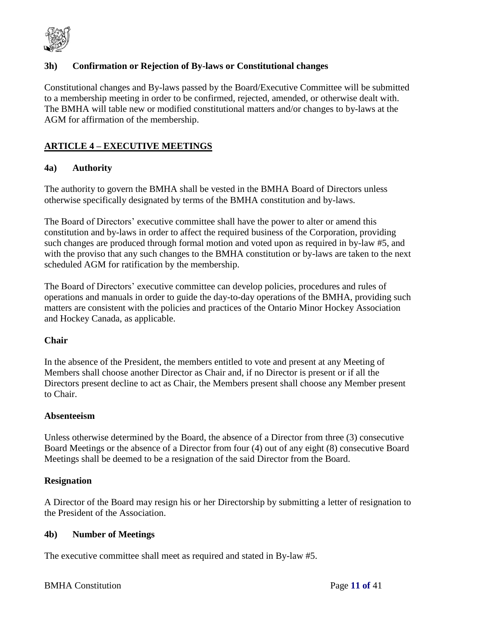

# **3h) Confirmation or Rejection of By-laws or Constitutional changes**

Constitutional changes and By-laws passed by the Board/Executive Committee will be submitted to a membership meeting in order to be confirmed, rejected, amended, or otherwise dealt with. The BMHA will table new or modified constitutional matters and/or changes to by-laws at the AGM for affirmation of the membership.

# **ARTICLE 4 – EXECUTIVE MEETINGS**

#### **4a) Authority**

The authority to govern the BMHA shall be vested in the BMHA Board of Directors unless otherwise specifically designated by terms of the BMHA constitution and by-laws.

The Board of Directors' executive committee shall have the power to alter or amend this constitution and by-laws in order to affect the required business of the Corporation, providing such changes are produced through formal motion and voted upon as required in by-law #5, and with the proviso that any such changes to the BMHA constitution or by-laws are taken to the next scheduled AGM for ratification by the membership.

The Board of Directors' executive committee can develop policies, procedures and rules of operations and manuals in order to guide the day-to-day operations of the BMHA, providing such matters are consistent with the policies and practices of the Ontario Minor Hockey Association and Hockey Canada, as applicable.

#### **Chair**

In the absence of the President, the members entitled to vote and present at any Meeting of Members shall choose another Director as Chair and, if no Director is present or if all the Directors present decline to act as Chair, the Members present shall choose any Member present to Chair.

#### **Absenteeism**

Unless otherwise determined by the Board, the absence of a Director from three (3) consecutive Board Meetings or the absence of a Director from four (4) out of any eight (8) consecutive Board Meetings shall be deemed to be a resignation of the said Director from the Board.

#### **Resignation**

A Director of the Board may resign his or her Directorship by submitting a letter of resignation to the President of the Association.

#### **4b) Number of Meetings**

The executive committee shall meet as required and stated in By-law #5.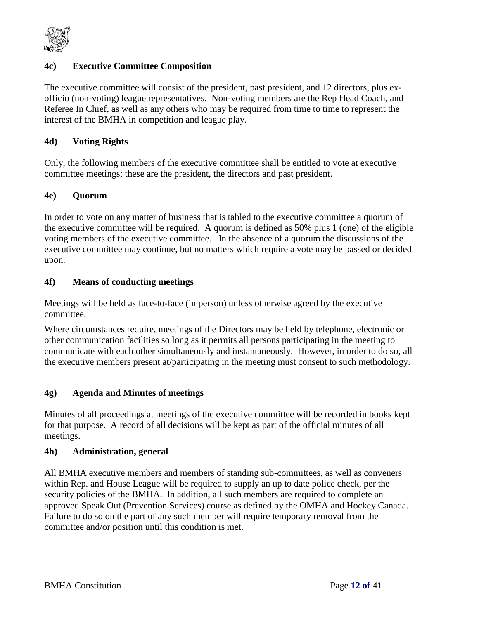

# **4c) Executive Committee Composition**

The executive committee will consist of the president, past president, and 12 directors, plus exofficio (non-voting) league representatives. Non-voting members are the Rep Head Coach, and Referee In Chief, as well as any others who may be required from time to time to represent the interest of the BMHA in competition and league play.

#### **4d) Voting Rights**

Only, the following members of the executive committee shall be entitled to vote at executive committee meetings; these are the president, the directors and past president.

### **4e) Quorum**

In order to vote on any matter of business that is tabled to the executive committee a quorum of the executive committee will be required. A quorum is defined as 50% plus 1 (one) of the eligible voting members of the executive committee. In the absence of a quorum the discussions of the executive committee may continue, but no matters which require a vote may be passed or decided upon.

### **4f) Means of conducting meetings**

Meetings will be held as face-to-face (in person) unless otherwise agreed by the executive committee.

Where circumstances require, meetings of the Directors may be held by telephone, electronic or other communication facilities so long as it permits all persons participating in the meeting to communicate with each other simultaneously and instantaneously. However, in order to do so, all the executive members present at/participating in the meeting must consent to such methodology.

#### **4g) Agenda and Minutes of meetings**

Minutes of all proceedings at meetings of the executive committee will be recorded in books kept for that purpose. A record of all decisions will be kept as part of the official minutes of all meetings.

#### **4h) Administration, general**

All BMHA executive members and members of standing sub-committees, as well as conveners within Rep. and House League will be required to supply an up to date police check, per the security policies of the BMHA. In addition, all such members are required to complete an approved Speak Out (Prevention Services) course as defined by the OMHA and Hockey Canada. Failure to do so on the part of any such member will require temporary removal from the committee and/or position until this condition is met.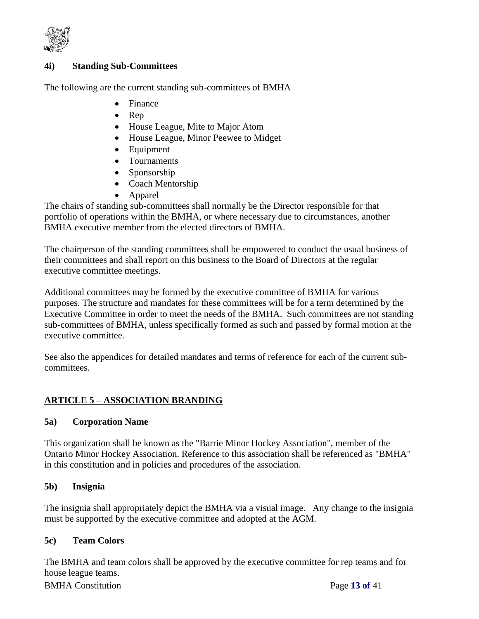

# **4i) Standing Sub-Committees**

The following are the current standing sub-committees of BMHA

- Finance
- $\bullet$  Rep
- House League, Mite to Major Atom
- House League, Minor Peewee to Midget
- Equipment
- Tournaments
- Sponsorship
- Coach Mentorship
- Apparel

The chairs of standing sub-committees shall normally be the Director responsible for that portfolio of operations within the BMHA, or where necessary due to circumstances, another BMHA executive member from the elected directors of BMHA.

The chairperson of the standing committees shall be empowered to conduct the usual business of their committees and shall report on this business to the Board of Directors at the regular executive committee meetings.

Additional committees may be formed by the executive committee of BMHA for various purposes. The structure and mandates for these committees will be for a term determined by the Executive Committee in order to meet the needs of the BMHA. Such committees are not standing sub-committees of BMHA, unless specifically formed as such and passed by formal motion at the executive committee.

See also the appendices for detailed mandates and terms of reference for each of the current subcommittees.

# **ARTICLE 5 – ASSOCIATION BRANDING**

#### **5a) Corporation Name**

This organization shall be known as the "Barrie Minor Hockey Association", member of the Ontario Minor Hockey Association. Reference to this association shall be referenced as "BMHA" in this constitution and in policies and procedures of the association.

#### **5b) Insignia**

The insignia shall appropriately depict the BMHA via a visual image. Any change to the insignia must be supported by the executive committee and adopted at the AGM.

#### **5c) Team Colors**

The BMHA and team colors shall be approved by the executive committee for rep teams and for house league teams.

BMHA Constitution Page **13 of** 41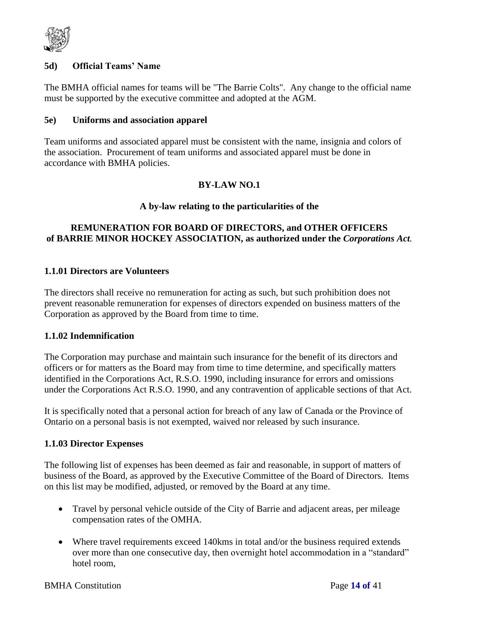

#### **5d) Official Teams' Name**

The BMHA official names for teams will be "The Barrie Colts". Any change to the official name must be supported by the executive committee and adopted at the AGM.

#### **5e) Uniforms and association apparel**

Team uniforms and associated apparel must be consistent with the name, insignia and colors of the association. Procurement of team uniforms and associated apparel must be done in accordance with BMHA policies.

### **BY-LAW NO.1**

#### **A by-law relating to the particularities of the**

# **REMUNERATION FOR BOARD OF DIRECTORS, and OTHER OFFICERS of BARRIE MINOR HOCKEY ASSOCIATION, as authorized under the** *Corporations Act.*

#### **1.1.01 Directors are Volunteers**

The directors shall receive no remuneration for acting as such, but such prohibition does not prevent reasonable remuneration for expenses of directors expended on business matters of the Corporation as approved by the Board from time to time.

#### **1.1.02 Indemnification**

The Corporation may purchase and maintain such insurance for the benefit of its directors and officers or for matters as the Board may from time to time determine, and specifically matters identified in the Corporations Act, R.S.O. 1990, including insurance for errors and omissions under the Corporations Act R.S.O. 1990, and any contravention of applicable sections of that Act.

It is specifically noted that a personal action for breach of any law of Canada or the Province of Ontario on a personal basis is not exempted, waived nor released by such insurance.

#### **1.1.03 Director Expenses**

The following list of expenses has been deemed as fair and reasonable, in support of matters of business of the Board, as approved by the Executive Committee of the Board of Directors. Items on this list may be modified, adjusted, or removed by the Board at any time.

- Travel by personal vehicle outside of the City of Barrie and adjacent areas, per mileage compensation rates of the OMHA.
- Where travel requirements exceed 140kms in total and/or the business required extends over more than one consecutive day, then overnight hotel accommodation in a "standard" hotel room,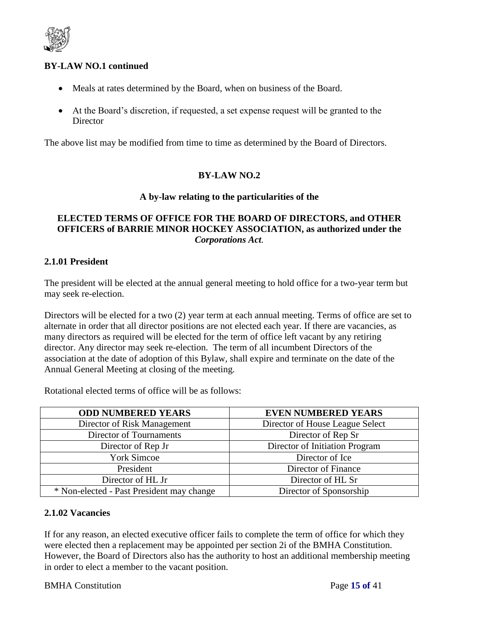

# **BY-LAW NO.1 continued**

- Meals at rates determined by the Board, when on business of the Board.
- At the Board's discretion, if requested, a set expense request will be granted to the **Director**

The above list may be modified from time to time as determined by the Board of Directors.

# **BY-LAW NO.2**

#### **A by-law relating to the particularities of the**

# **ELECTED TERMS OF OFFICE FOR THE BOARD OF DIRECTORS, and OTHER OFFICERS of BARRIE MINOR HOCKEY ASSOCIATION, as authorized under the**  *Corporations Act.*

#### **2.1.01 President**

The president will be elected at the annual general meeting to hold office for a two-year term but may seek re-election.

Directors will be elected for a two (2) year term at each annual meeting. Terms of office are set to alternate in order that all director positions are not elected each year. If there are vacancies, as many directors as required will be elected for the term of office left vacant by any retiring director. Any director may seek re-election. The term of all incumbent Directors of the association at the date of adoption of this Bylaw, shall expire and terminate on the date of the Annual General Meeting at closing of the meeting.

Rotational elected terms of office will be as follows:

| <b>ODD NUMBERED YEARS</b>                 | <b>EVEN NUMBERED YEARS</b>      |
|-------------------------------------------|---------------------------------|
| Director of Risk Management               | Director of House League Select |
| Director of Tournaments                   | Director of Rep Sr              |
| Director of Rep Jr                        | Director of Initiation Program  |
| <b>York Simcoe</b>                        | Director of Ice                 |
| President                                 | Director of Finance             |
| Director of HL Jr                         | Director of HL Sr               |
| * Non-elected - Past President may change | Director of Sponsorship         |

#### **2.1.02 Vacancies**

If for any reason, an elected executive officer fails to complete the term of office for which they were elected then a replacement may be appointed per section 2i of the BMHA Constitution. However, the Board of Directors also has the authority to host an additional membership meeting in order to elect a member to the vacant position.

#### BMHA Constitution Page **15 of** 41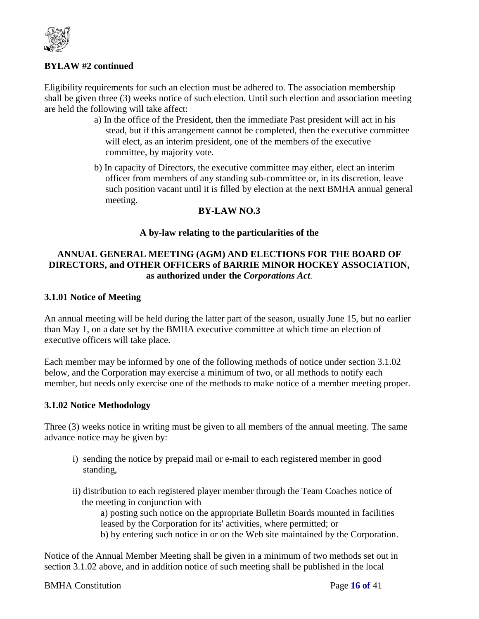

# **BYLAW #2 continued**

Eligibility requirements for such an election must be adhered to. The association membership shall be given three (3) weeks notice of such election. Until such election and association meeting are held the following will take affect:

- a) In the office of the President, then the immediate Past president will act in his stead, but if this arrangement cannot be completed, then the executive committee will elect, as an interim president, one of the members of the executive committee, by majority vote.
- b) In capacity of Directors, the executive committee may either, elect an interim officer from members of any standing sub-committee or, in its discretion, leave such position vacant until it is filled by election at the next BMHA annual general meeting.

### **BY-LAW NO.3**

### **A by-law relating to the particularities of the**

# **ANNUAL GENERAL MEETING (AGM) AND ELECTIONS FOR THE BOARD OF DIRECTORS, and OTHER OFFICERS of BARRIE MINOR HOCKEY ASSOCIATION, as authorized under the** *Corporations Act.*

### **3.1.01 Notice of Meeting**

An annual meeting will be held during the latter part of the season, usually June 15, but no earlier than May 1, on a date set by the BMHA executive committee at which time an election of executive officers will take place.

Each member may be informed by one of the following methods of notice under section 3.1.02 below, and the Corporation may exercise a minimum of two, or all methods to notify each member, but needs only exercise one of the methods to make notice of a member meeting proper.

#### **3.1.02 Notice Methodology**

Three (3) weeks notice in writing must be given to all members of the annual meeting. The same advance notice may be given by:

- i) sending the notice by prepaid mail or e-mail to each registered member in good standing,
- ii) distribution to each registered player member through the Team Coaches notice of the meeting in conjunction with

a) posting such notice on the appropriate Bulletin Boards mounted in facilities leased by the Corporation for its' activities, where permitted; or

b) by entering such notice in or on the Web site maintained by the Corporation.

Notice of the Annual Member Meeting shall be given in a minimum of two methods set out in section 3.1.02 above, and in addition notice of such meeting shall be published in the local

#### BMHA Constitution Page **16 of** 41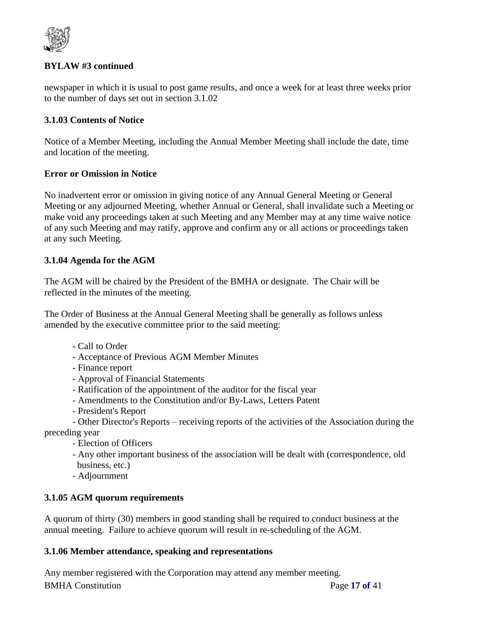

# **BYLAW #3 continued**

newspaper in which it is usual to post game results, and once a week for at least three weeks prior to the number of days set out in section 3.1.02

# **3.1.03 Contents of Notice**

Notice of a Member Meeting, including the Annual Member Meeting shall include the date, time and location of the meeting.

# **Error or Omission in Notice**

No inadvertent error or omission in giving notice of any Annual General Meeting or General Meeting or any adjourned Meeting, whether Annual or General, shall invalidate such a Meeting or make void any proceedings taken at such Meeting and any Member may at any time waive notice of any such Meeting and may ratify, approve and confirm any or all actions or proceedings taken at any such Meeting.

# **3.1.04 Agenda for the AGM**

The AGM will be chaired by the President of the BMHA or designate. The Chair will be reflected in the minutes of the meeting.

The Order of Business at the Annual General Meeting shall be generally as follows unless amended by the executive committee prior to the said meeting:

- Call to Order
- Acceptance of Previous AGM Member Minutes
- Finance report
- Approval of Financial Statements
- Ratification of the appointment of the auditor for the fiscal year
- Amendments to the Constitution and/or By-Laws, Letters Patent
- President's Report

- Other Director's Reports – receiving reports of the activities of the Association during the preceding year

- Election of Officers
- Any other important business of the association will be dealt with (correspondence, old business, etc.)
- Adjournment

# **3.1.05 AGM quorum requirements**

A quorum of thirty (30) members in good standing shall be required to conduct business at the annual meeting. Failure to achieve quorum will result in re-scheduling of the AGM.

# **3.1.06 Member attendance, speaking and representations**

BMHA Constitution Page **17 of** 41 Any member registered with the Corporation may attend any member meeting.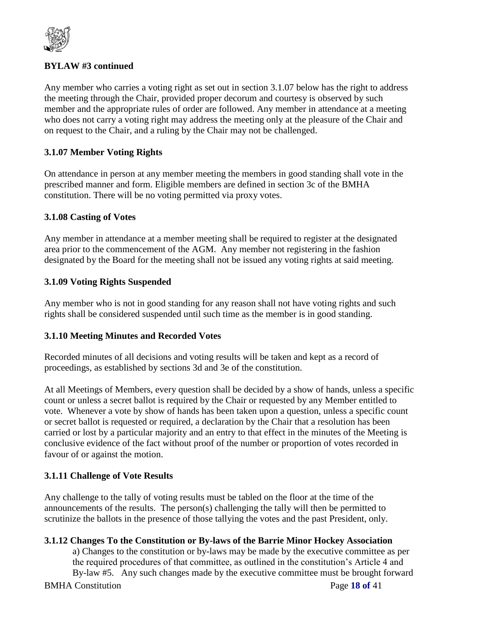

# **BYLAW #3 continued**

Any member who carries a voting right as set out in section 3.1.07 below has the right to address the meeting through the Chair, provided proper decorum and courtesy is observed by such member and the appropriate rules of order are followed. Any member in attendance at a meeting who does not carry a voting right may address the meeting only at the pleasure of the Chair and on request to the Chair, and a ruling by the Chair may not be challenged.

# **3.1.07 Member Voting Rights**

On attendance in person at any member meeting the members in good standing shall vote in the prescribed manner and form. Eligible members are defined in section 3c of the BMHA constitution. There will be no voting permitted via proxy votes.

# **3.1.08 Casting of Votes**

Any member in attendance at a member meeting shall be required to register at the designated area prior to the commencement of the AGM. Any member not registering in the fashion designated by the Board for the meeting shall not be issued any voting rights at said meeting.

# **3.1.09 Voting Rights Suspended**

Any member who is not in good standing for any reason shall not have voting rights and such rights shall be considered suspended until such time as the member is in good standing.

# **3.1.10 Meeting Minutes and Recorded Votes**

Recorded minutes of all decisions and voting results will be taken and kept as a record of proceedings, as established by sections 3d and 3e of the constitution.

At all Meetings of Members, every question shall be decided by a show of hands, unless a specific count or unless a secret ballot is required by the Chair or requested by any Member entitled to vote. Whenever a vote by show of hands has been taken upon a question, unless a specific count or secret ballot is requested or required, a declaration by the Chair that a resolution has been carried or lost by a particular majority and an entry to that effect in the minutes of the Meeting is conclusive evidence of the fact without proof of the number or proportion of votes recorded in favour of or against the motion.

# **3.1.11 Challenge of Vote Results**

Any challenge to the tally of voting results must be tabled on the floor at the time of the announcements of the results. The person(s) challenging the tally will then be permitted to scrutinize the ballots in the presence of those tallying the votes and the past President, only.

# **3.1.12 Changes To the Constitution or By-laws of the Barrie Minor Hockey Association**

BMHA Constitution Page **18 of** 41 a) Changes to the constitution or by-laws may be made by the executive committee as per the required procedures of that committee, as outlined in the constitution's Article 4 and By-law #5. Any such changes made by the executive committee must be brought forward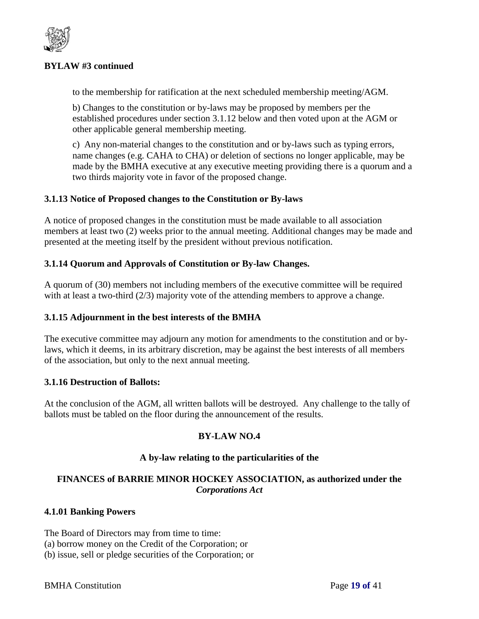

# **BYLAW #3 continued**

to the membership for ratification at the next scheduled membership meeting/AGM.

b) Changes to the constitution or by-laws may be proposed by members per the established procedures under section 3.1.12 below and then voted upon at the AGM or other applicable general membership meeting.

c) Any non-material changes to the constitution and or by-laws such as typing errors, name changes (e.g. CAHA to CHA) or deletion of sections no longer applicable, may be made by the BMHA executive at any executive meeting providing there is a quorum and a two thirds majority vote in favor of the proposed change.

### **3.1.13 Notice of Proposed changes to the Constitution or By-laws**

A notice of proposed changes in the constitution must be made available to all association members at least two (2) weeks prior to the annual meeting. Additional changes may be made and presented at the meeting itself by the president without previous notification.

### **3.1.14 Quorum and Approvals of Constitution or By-law Changes.**

A quorum of (30) members not including members of the executive committee will be required with at least a two-third (2/3) majority vote of the attending members to approve a change.

#### **3.1.15 Adjournment in the best interests of the BMHA**

The executive committee may adjourn any motion for amendments to the constitution and or bylaws, which it deems, in its arbitrary discretion, may be against the best interests of all members of the association, but only to the next annual meeting.

#### **3.1.16 Destruction of Ballots:**

At the conclusion of the AGM, all written ballots will be destroyed. Any challenge to the tally of ballots must be tabled on the floor during the announcement of the results.

#### **BY-LAW NO.4**

#### **A by-law relating to the particularities of the**

# **FINANCES of BARRIE MINOR HOCKEY ASSOCIATION, as authorized under the**  *Corporations Act*

#### **4.1.01 Banking Powers**

The Board of Directors may from time to time: (a) borrow money on the Credit of the Corporation; or

(b) issue, sell or pledge securities of the Corporation; or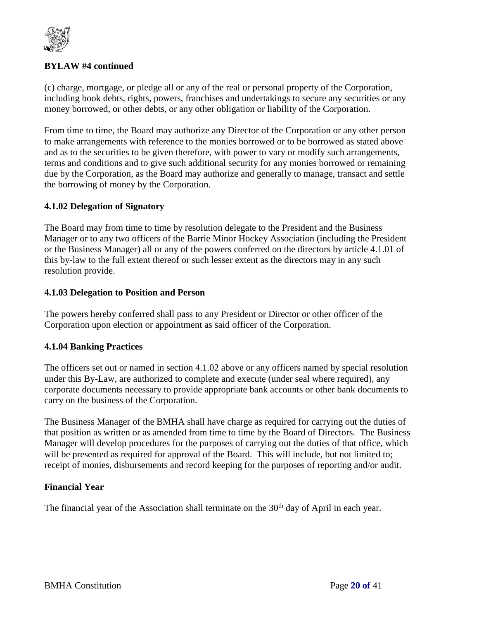

# **BYLAW #4 continued**

(c) charge, mortgage, or pledge all or any of the real or personal property of the Corporation, including book debts, rights, powers, franchises and undertakings to secure any securities or any money borrowed, or other debts, or any other obligation or liability of the Corporation.

From time to time, the Board may authorize any Director of the Corporation or any other person to make arrangements with reference to the monies borrowed or to be borrowed as stated above and as to the securities to be given therefore, with power to vary or modify such arrangements, terms and conditions and to give such additional security for any monies borrowed or remaining due by the Corporation, as the Board may authorize and generally to manage, transact and settle the borrowing of money by the Corporation.

### **4.1.02 Delegation of Signatory**

The Board may from time to time by resolution delegate to the President and the Business Manager or to any two officers of the Barrie Minor Hockey Association (including the President or the Business Manager) all or any of the powers conferred on the directors by article 4.1.01 of this by-law to the full extent thereof or such lesser extent as the directors may in any such resolution provide.

#### **4.1.03 Delegation to Position and Person**

The powers hereby conferred shall pass to any President or Director or other officer of the Corporation upon election or appointment as said officer of the Corporation.

# **4.1.04 Banking Practices**

The officers set out or named in section 4.1.02 above or any officers named by special resolution under this By-Law, are authorized to complete and execute (under seal where required), any corporate documents necessary to provide appropriate bank accounts or other bank documents to carry on the business of the Corporation.

The Business Manager of the BMHA shall have charge as required for carrying out the duties of that position as written or as amended from time to time by the Board of Directors. The Business Manager will develop procedures for the purposes of carrying out the duties of that office, which will be presented as required for approval of the Board. This will include, but not limited to; receipt of monies, disbursements and record keeping for the purposes of reporting and/or audit.

#### **Financial Year**

The financial year of the Association shall terminate on the 30<sup>th</sup> day of April in each year.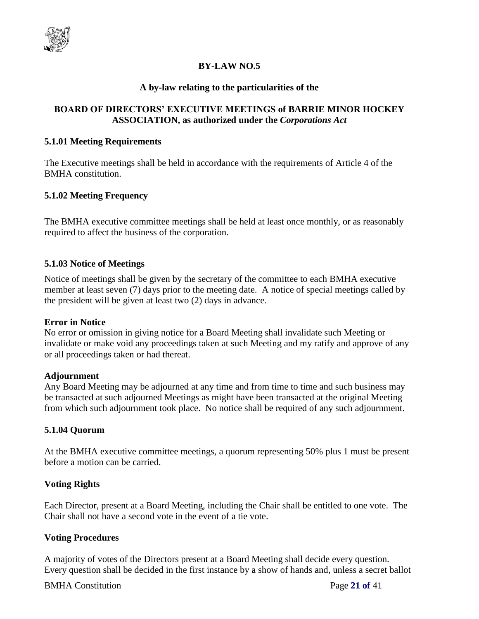

# **BY-LAW NO.5**

#### **A by-law relating to the particularities of the**

# **BOARD OF DIRECTORS' EXECUTIVE MEETINGS of BARRIE MINOR HOCKEY ASSOCIATION, as authorized under the** *Corporations Act*

#### **5.1.01 Meeting Requirements**

The Executive meetings shall be held in accordance with the requirements of Article 4 of the BMHA constitution.

### **5.1.02 Meeting Frequency**

The BMHA executive committee meetings shall be held at least once monthly, or as reasonably required to affect the business of the corporation.

#### **5.1.03 Notice of Meetings**

Notice of meetings shall be given by the secretary of the committee to each BMHA executive member at least seven (7) days prior to the meeting date. A notice of special meetings called by the president will be given at least two (2) days in advance.

#### **Error in Notice**

No error or omission in giving notice for a Board Meeting shall invalidate such Meeting or invalidate or make void any proceedings taken at such Meeting and my ratify and approve of any or all proceedings taken or had thereat.

#### **Adjournment**

Any Board Meeting may be adjourned at any time and from time to time and such business may be transacted at such adjourned Meetings as might have been transacted at the original Meeting from which such adjournment took place. No notice shall be required of any such adjournment.

# **5.1.04 Quorum**

At the BMHA executive committee meetings, a quorum representing 50% plus 1 must be present before a motion can be carried.

# **Voting Rights**

Each Director, present at a Board Meeting, including the Chair shall be entitled to one vote. The Chair shall not have a second vote in the event of a tie vote.

# **Voting Procedures**

A majority of votes of the Directors present at a Board Meeting shall decide every question. Every question shall be decided in the first instance by a show of hands and, unless a secret ballot

#### BMHA Constitution Page **21 of** 41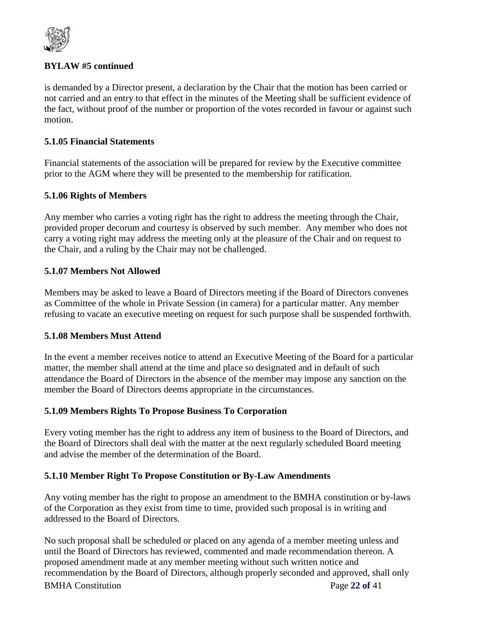

# **BYLAW #5 continued**

is demanded by a Director present, a declaration by the Chair that the motion has been carried or not carried and an entry to that effect in the minutes of the Meeting shall be sufficient evidence of the fact, without proof of the number or proportion of the votes recorded in favour or against such motion.

# **5.1.05 Financial Statements**

Financial statements of the association will be prepared for review by the Executive committee prior to the AGM where they will be presented to the membership for ratification.

# **5.1.06 Rights of Members**

Any member who carries a voting right has the right to address the meeting through the Chair, provided proper decorum and courtesy is observed by such member. Any member who does not carry a voting right may address the meeting only at the pleasure of the Chair and on request to the Chair, and a ruling by the Chair may not be challenged.

### **5.1.07 Members Not Allowed**

Members may be asked to leave a Board of Directors meeting if the Board of Directors convenes as Committee of the whole in Private Session (in camera) for a particular matter. Any member refusing to vacate an executive meeting on request for such purpose shall be suspended forthwith.

#### **5.1.08 Members Must Attend**

In the event a member receives notice to attend an Executive Meeting of the Board for a particular matter, the member shall attend at the time and place so designated and in default of such attendance the Board of Directors in the absence of the member may impose any sanction on the member the Board of Directors deems appropriate in the circumstances.

#### **5.1.09 Members Rights To Propose Business To Corporation**

Every voting member has the right to address any item of business to the Board of Directors, and the Board of Directors shall deal with the matter at the next regularly scheduled Board meeting and advise the member of the determination of the Board.

# **5.1.10 Member Right To Propose Constitution or By-Law Amendments**

Any voting member has the right to propose an amendment to the BMHA constitution or by-laws of the Corporation as they exist from time to time, provided such proposal is in writing and addressed to the Board of Directors.

BMHA Constitution Page **22 of** 41 No such proposal shall be scheduled or placed on any agenda of a member meeting unless and until the Board of Directors has reviewed, commented and made recommendation thereon. A proposed amendment made at any member meeting without such written notice and recommendation by the Board of Directors, although properly seconded and approved, shall only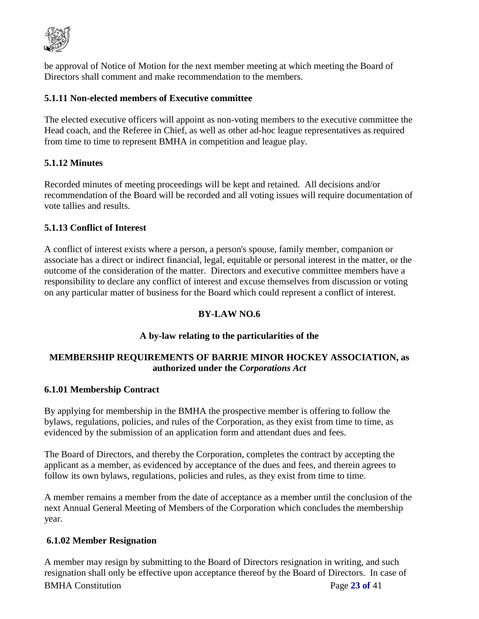

be approval of Notice of Motion for the next member meeting at which meeting the Board of Directors shall comment and make recommendation to the members.

# **5.1.11 Non-elected members of Executive committee**

The elected executive officers will appoint as non-voting members to the executive committee the Head coach, and the Referee in Chief, as well as other ad-hoc league representatives as required from time to time to represent BMHA in competition and league play.

# **5.1.12 Minutes**

Recorded minutes of meeting proceedings will be kept and retained. All decisions and/or recommendation of the Board will be recorded and all voting issues will require documentation of vote tallies and results.

### **5.1.13 Conflict of Interest**

A conflict of interest exists where a person, a person's spouse, family member, companion or associate has a direct or indirect financial, legal, equitable or personal interest in the matter, or the outcome of the consideration of the matter. Directors and executive committee members have a responsibility to declare any conflict of interest and excuse themselves from discussion or voting on any particular matter of business for the Board which could represent a conflict of interest.

# **BY-LAW NO.6**

# **A by-law relating to the particularities of the**

# **MEMBERSHIP REQUIREMENTS OF BARRIE MINOR HOCKEY ASSOCIATION, as authorized under the** *Corporations Act*

#### **6.1.01 Membership Contract**

By applying for membership in the BMHA the prospective member is offering to follow the bylaws, regulations, policies, and rules of the Corporation, as they exist from time to time, as evidenced by the submission of an application form and attendant dues and fees.

The Board of Directors, and thereby the Corporation, completes the contract by accepting the applicant as a member, as evidenced by acceptance of the dues and fees, and therein agrees to follow its own bylaws, regulations, policies and rules, as they exist from time to time.

A member remains a member from the date of acceptance as a member until the conclusion of the next Annual General Meeting of Members of the Corporation which concludes the membership year.

#### **6.1.02 Member Resignation**

BMHA Constitution Page **23 of** 41 A member may resign by submitting to the Board of Directors resignation in writing, and such resignation shall only be effective upon acceptance thereof by the Board of Directors. In case of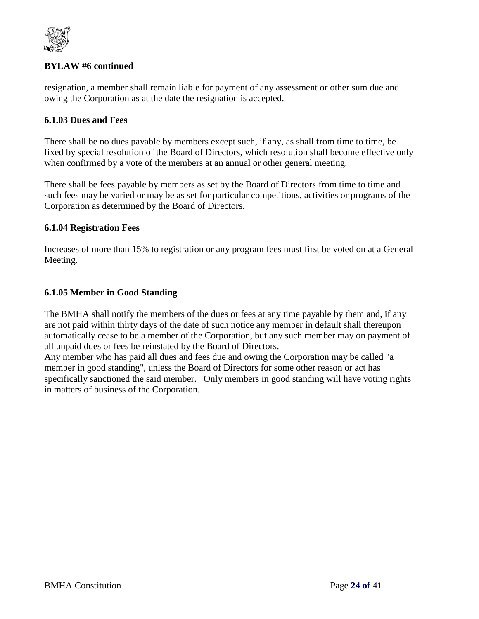

# **BYLAW #6 continued**

resignation, a member shall remain liable for payment of any assessment or other sum due and owing the Corporation as at the date the resignation is accepted.

### **6.1.03 Dues and Fees**

There shall be no dues payable by members except such, if any, as shall from time to time, be fixed by special resolution of the Board of Directors, which resolution shall become effective only when confirmed by a vote of the members at an annual or other general meeting.

There shall be fees payable by members as set by the Board of Directors from time to time and such fees may be varied or may be as set for particular competitions, activities or programs of the Corporation as determined by the Board of Directors.

### **6.1.04 Registration Fees**

Increases of more than 15% to registration or any program fees must first be voted on at a General Meeting.

### **6.1.05 Member in Good Standing**

The BMHA shall notify the members of the dues or fees at any time payable by them and, if any are not paid within thirty days of the date of such notice any member in default shall thereupon automatically cease to be a member of the Corporation, but any such member may on payment of all unpaid dues or fees be reinstated by the Board of Directors.

Any member who has paid all dues and fees due and owing the Corporation may be called "a member in good standing", unless the Board of Directors for some other reason or act has specifically sanctioned the said member. Only members in good standing will have voting rights in matters of business of the Corporation.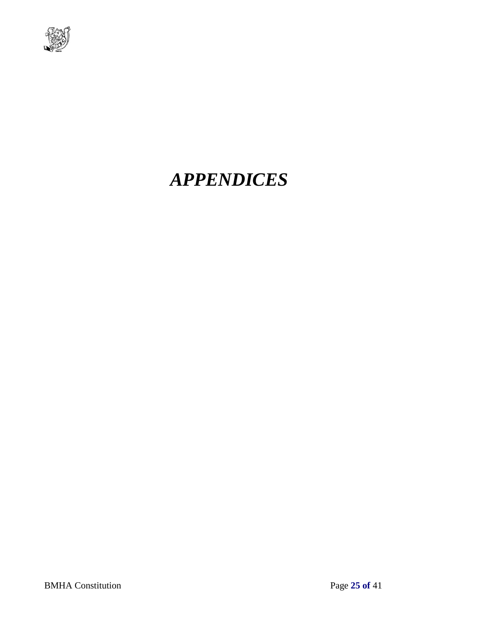

# *APPENDICES*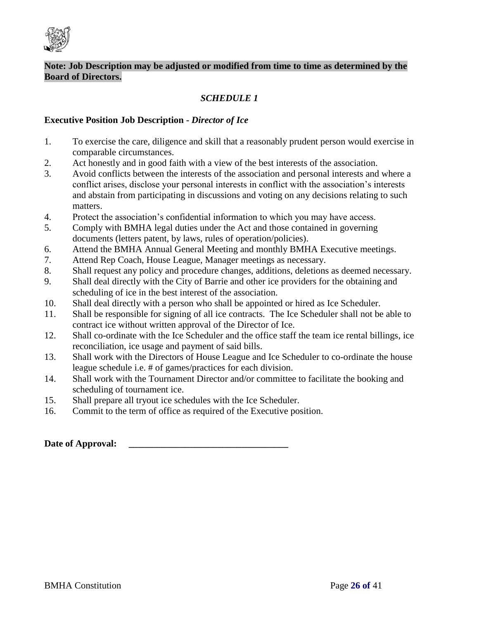

# *SCHEDULE 1*

#### **Executive Position Job Description -** *Director of Ice*

- 1. To exercise the care, diligence and skill that a reasonably prudent person would exercise in comparable circumstances.
- 2. Act honestly and in good faith with a view of the best interests of the association.
- 3. Avoid conflicts between the interests of the association and personal interests and where a conflict arises, disclose your personal interests in conflict with the association's interests and abstain from participating in discussions and voting on any decisions relating to such matters.
- 4. Protect the association's confidential information to which you may have access.
- 5. Comply with BMHA legal duties under the Act and those contained in governing documents (letters patent, by laws, rules of operation/policies).
- 6. Attend the BMHA Annual General Meeting and monthly BMHA Executive meetings.
- 7. Attend Rep Coach, House League, Manager meetings as necessary.
- 8. Shall request any policy and procedure changes, additions, deletions as deemed necessary.
- 9. Shall deal directly with the City of Barrie and other ice providers for the obtaining and scheduling of ice in the best interest of the association.
- 10. Shall deal directly with a person who shall be appointed or hired as Ice Scheduler.
- 11. Shall be responsible for signing of all ice contracts. The Ice Scheduler shall not be able to contract ice without written approval of the Director of Ice.
- 12. Shall co-ordinate with the Ice Scheduler and the office staff the team ice rental billings, ice reconciliation, ice usage and payment of said bills.
- 13. Shall work with the Directors of House League and Ice Scheduler to co-ordinate the house league schedule i.e. # of games/practices for each division.
- 14. Shall work with the Tournament Director and/or committee to facilitate the booking and scheduling of tournament ice.
- 15. Shall prepare all tryout ice schedules with the Ice Scheduler.
- 16. Commit to the term of office as required of the Executive position.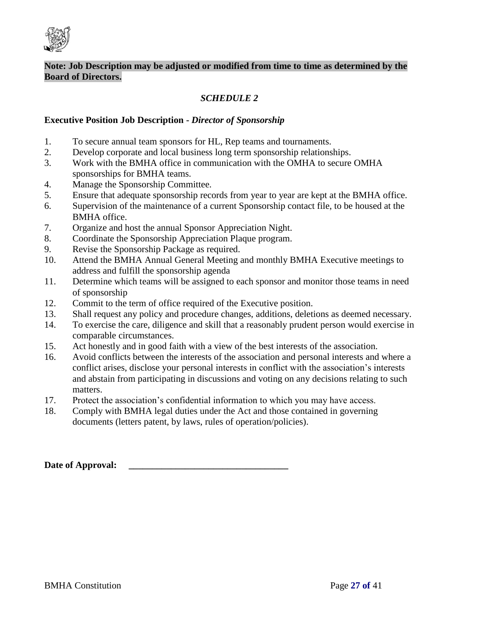

# *SCHEDULE 2*

#### **Executive Position Job Description -** *Director of Sponsorship*

- 1. To secure annual team sponsors for HL, Rep teams and tournaments.
- 2. Develop corporate and local business long term sponsorship relationships.
- 3. Work with the BMHA office in communication with the OMHA to secure OMHA sponsorships for BMHA teams.
- 4. Manage the Sponsorship Committee.
- 5. Ensure that adequate sponsorship records from year to year are kept at the BMHA office.
- 6. Supervision of the maintenance of a current Sponsorship contact file, to be housed at the BMHA office.
- 7. Organize and host the annual Sponsor Appreciation Night.
- 8. Coordinate the Sponsorship Appreciation Plaque program.
- 9. Revise the Sponsorship Package as required.
- 10. Attend the BMHA Annual General Meeting and monthly BMHA Executive meetings to address and fulfill the sponsorship agenda
- 11. Determine which teams will be assigned to each sponsor and monitor those teams in need of sponsorship
- 12. Commit to the term of office required of the Executive position.
- 13. Shall request any policy and procedure changes, additions, deletions as deemed necessary.
- 14. To exercise the care, diligence and skill that a reasonably prudent person would exercise in comparable circumstances.
- 15. Act honestly and in good faith with a view of the best interests of the association.
- 16. Avoid conflicts between the interests of the association and personal interests and where a conflict arises, disclose your personal interests in conflict with the association's interests and abstain from participating in discussions and voting on any decisions relating to such matters.
- 17. Protect the association's confidential information to which you may have access.
- 18. Comply with BMHA legal duties under the Act and those contained in governing documents (letters patent, by laws, rules of operation/policies).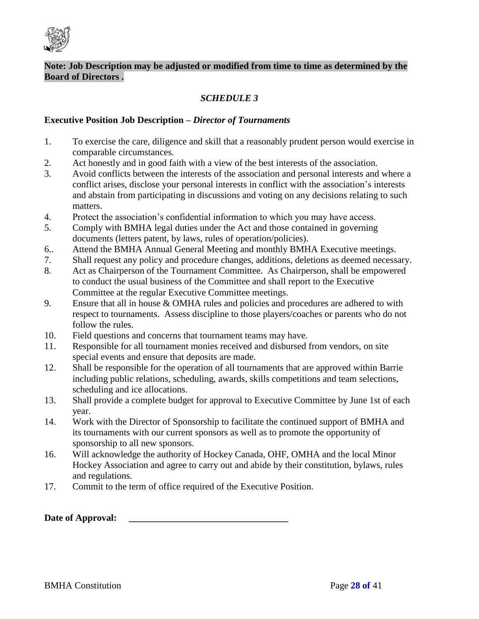

# *SCHEDULE 3*

#### **Executive Position Job Description –** *Director of Tournaments*

- 1. To exercise the care, diligence and skill that a reasonably prudent person would exercise in comparable circumstances.
- 2. Act honestly and in good faith with a view of the best interests of the association.
- 3. Avoid conflicts between the interests of the association and personal interests and where a conflict arises, disclose your personal interests in conflict with the association's interests and abstain from participating in discussions and voting on any decisions relating to such matters.
- 4. Protect the association's confidential information to which you may have access.
- 5. Comply with BMHA legal duties under the Act and those contained in governing documents (letters patent, by laws, rules of operation/policies).
- 6.. Attend the BMHA Annual General Meeting and monthly BMHA Executive meetings.
- 7. Shall request any policy and procedure changes, additions, deletions as deemed necessary.
- 8. Act as Chairperson of the Tournament Committee. As Chairperson, shall be empowered to conduct the usual business of the Committee and shall report to the Executive Committee at the regular Executive Committee meetings.
- 9. Ensure that all in house & OMHA rules and policies and procedures are adhered to with respect to tournaments. Assess discipline to those players/coaches or parents who do not follow the rules.
- 10. Field questions and concerns that tournament teams may have.
- 11. Responsible for all tournament monies received and disbursed from vendors, on site special events and ensure that deposits are made.
- 12. Shall be responsible for the operation of all tournaments that are approved within Barrie including public relations, scheduling, awards, skills competitions and team selections, scheduling and ice allocations.
- 13. Shall provide a complete budget for approval to Executive Committee by June 1st of each year.
- 14. Work with the Director of Sponsorship to facilitate the continued support of BMHA and its tournaments with our current sponsors as well as to promote the opportunity of sponsorship to all new sponsors.
- 16. Will acknowledge the authority of Hockey Canada, OHF, OMHA and the local Minor Hockey Association and agree to carry out and abide by their constitution, bylaws, rules and regulations.
- 17. Commit to the term of office required of the Executive Position.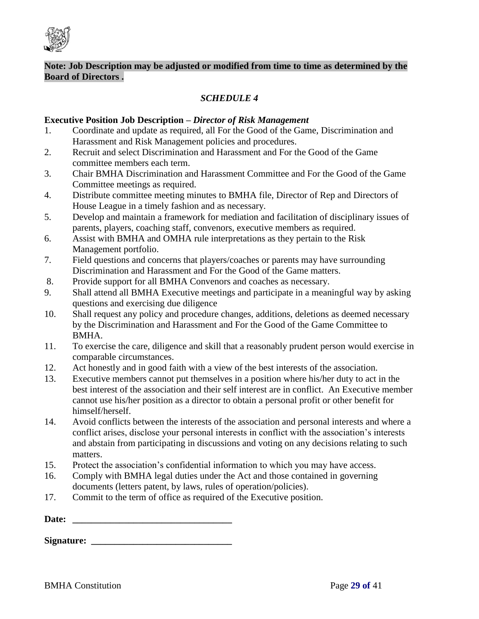

# *SCHEDULE 4*

#### **Executive Position Job Description –** *Director of Risk Management*

- 1. Coordinate and update as required, all For the Good of the Game, Discrimination and Harassment and Risk Management policies and procedures.
- 2. Recruit and select Discrimination and Harassment and For the Good of the Game committee members each term.
- 3. Chair BMHA Discrimination and Harassment Committee and For the Good of the Game Committee meetings as required.
- 4. Distribute committee meeting minutes to BMHA file, Director of Rep and Directors of House League in a timely fashion and as necessary.
- 5. Develop and maintain a framework for mediation and facilitation of disciplinary issues of parents, players, coaching staff, convenors, executive members as required.
- 6. Assist with BMHA and OMHA rule interpretations as they pertain to the Risk Management portfolio.
- 7. Field questions and concerns that players/coaches or parents may have surrounding Discrimination and Harassment and For the Good of the Game matters.
- 8. Provide support for all BMHA Convenors and coaches as necessary.
- 9. Shall attend all BMHA Executive meetings and participate in a meaningful way by asking questions and exercising due diligence
- 10. Shall request any policy and procedure changes, additions, deletions as deemed necessary by the Discrimination and Harassment and For the Good of the Game Committee to BMHA.
- 11. To exercise the care, diligence and skill that a reasonably prudent person would exercise in comparable circumstances.
- 12. Act honestly and in good faith with a view of the best interests of the association.
- 13. Executive members cannot put themselves in a position where his/her duty to act in the best interest of the association and their self interest are in conflict. An Executive member cannot use his/her position as a director to obtain a personal profit or other benefit for himself/herself.
- 14. Avoid conflicts between the interests of the association and personal interests and where a conflict arises, disclose your personal interests in conflict with the association's interests and abstain from participating in discussions and voting on any decisions relating to such matters.
- 15. Protect the association's confidential information to which you may have access.
- 16. Comply with BMHA legal duties under the Act and those contained in governing documents (letters patent, by laws, rules of operation/policies).
- 17. Commit to the term of office as required of the Executive position.

| <b>Signature:</b> |  |
|-------------------|--|
|-------------------|--|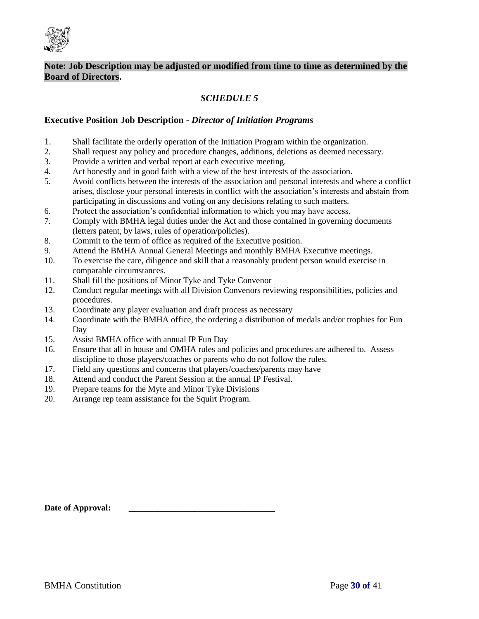

# *SCHEDULE 5*

#### **Executive Position Job Description -** *Director of Initiation Programs*

- 1. Shall facilitate the orderly operation of the Initiation Program within the organization.
- 2. Shall request any policy and procedure changes, additions, deletions as deemed necessary.
- 3. Provide a written and verbal report at each executive meeting.
- 4. Act honestly and in good faith with a view of the best interests of the association.<br>5. Avoid conflicts between the interests of the association and personal interests and
- 5. Avoid conflicts between the interests of the association and personal interests and where a conflict arises, disclose your personal interests in conflict with the association's interests and abstain from participating in discussions and voting on any decisions relating to such matters.
- 6. Protect the association's confidential information to which you may have access.
- 7. Comply with BMHA legal duties under the Act and those contained in governing documents (letters patent, by laws, rules of operation/policies).
- 8. Commit to the term of office as required of the Executive position.
- 9. Attend the BMHA Annual General Meetings and monthly BMHA Executive meetings.
- 10. To exercise the care, diligence and skill that a reasonably prudent person would exercise in comparable circumstances.
- 11. Shall fill the positions of Minor Tyke and Tyke Convenor
- 12. Conduct regular meetings with all Division Convenors reviewing responsibilities, policies and procedures.
- 13. Coordinate any player evaluation and draft process as necessary
- 14. Coordinate with the BMHA office, the ordering a distribution of medals and/or trophies for Fun Day
- 15. Assist BMHA office with annual IP Fun Day
- 16. Ensure that all in house and OMHA rules and policies and procedures are adhered to. Assess discipline to those players/coaches or parents who do not follow the rules.
- 17. Field any questions and concerns that players/coaches/parents may have
- 18. Attend and conduct the Parent Session at the annual IP Festival.
- 19. Prepare teams for the Myte and Minor Tyke Divisions
- 20. Arrange rep team assistance for the Squirt Program.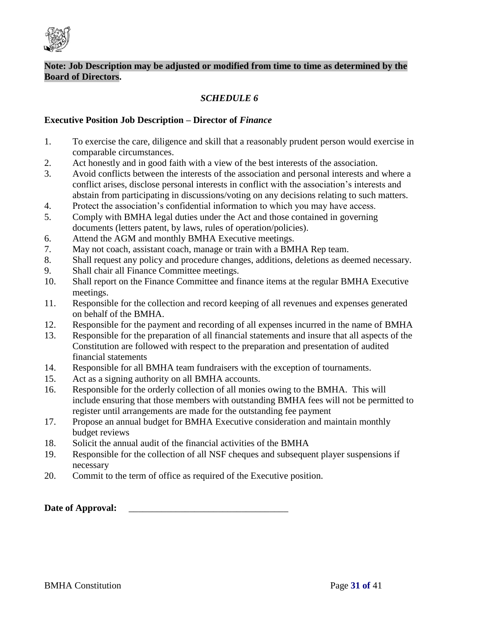

# *SCHEDULE 6*

#### **Executive Position Job Description – Director of** *Finance*

- 1. To exercise the care, diligence and skill that a reasonably prudent person would exercise in comparable circumstances.
- 2. Act honestly and in good faith with a view of the best interests of the association.
- 3. Avoid conflicts between the interests of the association and personal interests and where a conflict arises, disclose personal interests in conflict with the association's interests and abstain from participating in discussions/voting on any decisions relating to such matters.
- 4. Protect the association's confidential information to which you may have access.
- 5. Comply with BMHA legal duties under the Act and those contained in governing documents (letters patent, by laws, rules of operation/policies).
- 6. Attend the AGM and monthly BMHA Executive meetings.
- 7. May not coach, assistant coach, manage or train with a BMHA Rep team.
- 8. Shall request any policy and procedure changes, additions, deletions as deemed necessary.
- 9. Shall chair all Finance Committee meetings.
- 10. Shall report on the Finance Committee and finance items at the regular BMHA Executive meetings.
- 11. Responsible for the collection and record keeping of all revenues and expenses generated on behalf of the BMHA.
- 12. Responsible for the payment and recording of all expenses incurred in the name of BMHA
- 13. Responsible for the preparation of all financial statements and insure that all aspects of the Constitution are followed with respect to the preparation and presentation of audited financial statements
- 14. Responsible for all BMHA team fundraisers with the exception of tournaments.
- 15. Act as a signing authority on all BMHA accounts.
- 16. Responsible for the orderly collection of all monies owing to the BMHA. This will include ensuring that those members with outstanding BMHA fees will not be permitted to register until arrangements are made for the outstanding fee payment
- 17. Propose an annual budget for BMHA Executive consideration and maintain monthly budget reviews
- 18. Solicit the annual audit of the financial activities of the BMHA
- 19. Responsible for the collection of all NSF cheques and subsequent player suspensions if necessary
- 20. Commit to the term of office as required of the Executive position.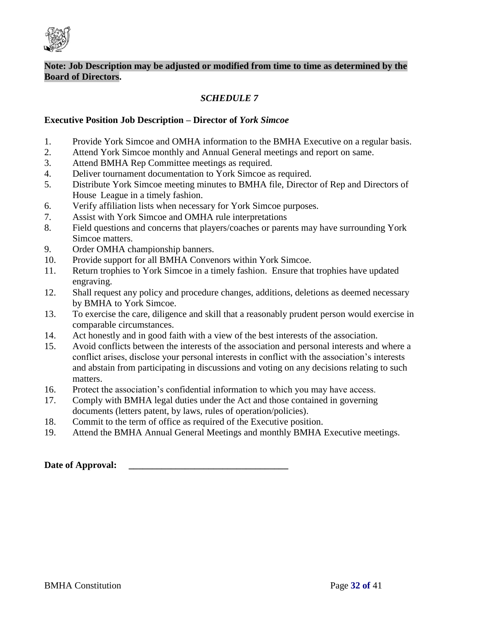

# *SCHEDULE 7*

#### **Executive Position Job Description – Director of** *York Simcoe*

- 1. Provide York Simcoe and OMHA information to the BMHA Executive on a regular basis.
- 2. Attend York Simcoe monthly and Annual General meetings and report on same.
- 3. Attend BMHA Rep Committee meetings as required.
- 4. Deliver tournament documentation to York Simcoe as required.
- 5. Distribute York Simcoe meeting minutes to BMHA file, Director of Rep and Directors of House League in a timely fashion.
- 6. Verify affiliation lists when necessary for York Simcoe purposes.
- 7. Assist with York Simcoe and OMHA rule interpretations
- 8. Field questions and concerns that players/coaches or parents may have surrounding York Simcoe matters.
- 9. Order OMHA championship banners.
- 10. Provide support for all BMHA Convenors within York Simcoe.
- 11. Return trophies to York Simcoe in a timely fashion. Ensure that trophies have updated engraving.
- 12. Shall request any policy and procedure changes, additions, deletions as deemed necessary by BMHA to York Simcoe.
- 13. To exercise the care, diligence and skill that a reasonably prudent person would exercise in comparable circumstances.
- 14. Act honestly and in good faith with a view of the best interests of the association.
- 15. Avoid conflicts between the interests of the association and personal interests and where a conflict arises, disclose your personal interests in conflict with the association's interests and abstain from participating in discussions and voting on any decisions relating to such matters.
- 16. Protect the association's confidential information to which you may have access.
- 17. Comply with BMHA legal duties under the Act and those contained in governing documents (letters patent, by laws, rules of operation/policies).
- 18. Commit to the term of office as required of the Executive position.
- 19. Attend the BMHA Annual General Meetings and monthly BMHA Executive meetings.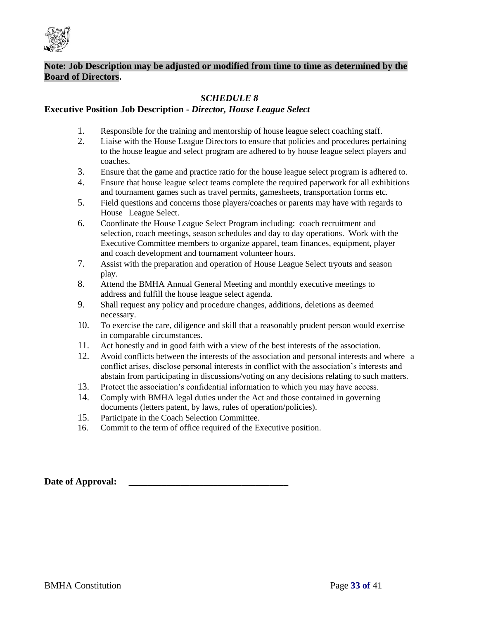

# *SCHEDULE 8*

#### **Executive Position Job Description -** *Director, House League Select*

- 1. Responsible for the training and mentorship of house league select coaching staff.
- 2. Liaise with the House League Directors to ensure that policies and procedures pertaining to the house league and select program are adhered to by house league select players and coaches.
- 3. Ensure that the game and practice ratio for the house league select program is adhered to.
- 4. Ensure that house league select teams complete the required paperwork for all exhibitions and tournament games such as travel permits, gamesheets, transportation forms etc.
- 5. Field questions and concerns those players/coaches or parents may have with regards to House League Select.
- 6. Coordinate the House League Select Program including: coach recruitment and selection, coach meetings, season schedules and day to day operations. Work with the Executive Committee members to organize apparel, team finances, equipment, player and coach development and tournament volunteer hours.
- 7. Assist with the preparation and operation of House League Select tryouts and season play.
- 8. Attend the BMHA Annual General Meeting and monthly executive meetings to address and fulfill the house league select agenda.
- 9. Shall request any policy and procedure changes, additions, deletions as deemed necessary.
- 10. To exercise the care, diligence and skill that a reasonably prudent person would exercise in comparable circumstances.
- 11. Act honestly and in good faith with a view of the best interests of the association.
- 12. Avoid conflicts between the interests of the association and personal interests and where a conflict arises, disclose personal interests in conflict with the association's interests and abstain from participating in discussions/voting on any decisions relating to such matters.
- 13. Protect the association's confidential information to which you may have access.
- 14. Comply with BMHA legal duties under the Act and those contained in governing documents (letters patent, by laws, rules of operation/policies).
- 15. Participate in the Coach Selection Committee.
- 16. Commit to the term of office required of the Executive position.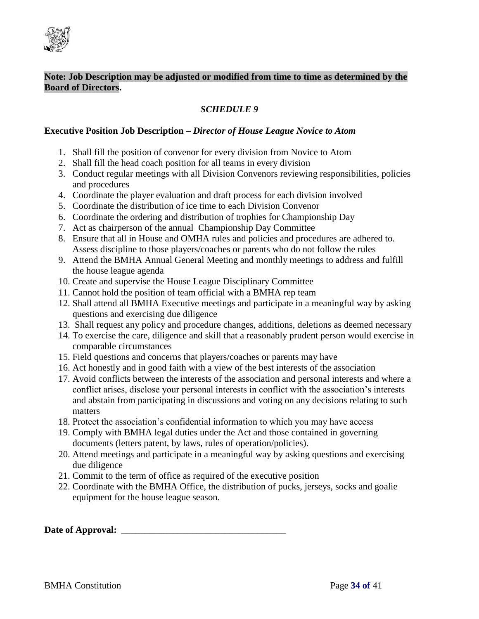

# *SCHEDULE 9*

#### **Executive Position Job Description –** *Director of House League Novice to Atom*

- 1. Shall fill the position of convenor for every division from Novice to Atom
- 2. Shall fill the head coach position for all teams in every division
- 3. Conduct regular meetings with all Division Convenors reviewing responsibilities, policies and procedures
- 4. Coordinate the player evaluation and draft process for each division involved
- 5. Coordinate the distribution of ice time to each Division Convenor
- 6. Coordinate the ordering and distribution of trophies for Championship Day
- 7. Act as chairperson of the annual Championship Day Committee
- 8. Ensure that all in House and OMHA rules and policies and procedures are adhered to. Assess discipline to those players/coaches or parents who do not follow the rules
- 9. Attend the BMHA Annual General Meeting and monthly meetings to address and fulfill the house league agenda
- 10. Create and supervise the House League Disciplinary Committee
- 11. Cannot hold the position of team official with a BMHA rep team
- 12. Shall attend all BMHA Executive meetings and participate in a meaningful way by asking questions and exercising due diligence
- 13. Shall request any policy and procedure changes, additions, deletions as deemed necessary
- 14. To exercise the care, diligence and skill that a reasonably prudent person would exercise in comparable circumstances
- 15. Field questions and concerns that players/coaches or parents may have
- 16. Act honestly and in good faith with a view of the best interests of the association
- 17. Avoid conflicts between the interests of the association and personal interests and where a conflict arises, disclose your personal interests in conflict with the association's interests and abstain from participating in discussions and voting on any decisions relating to such matters
- 18. Protect the association's confidential information to which you may have access
- 19. Comply with BMHA legal duties under the Act and those contained in governing documents (letters patent, by laws, rules of operation/policies).
- 20. Attend meetings and participate in a meaningful way by asking questions and exercising due diligence
- 21. Commit to the term of office as required of the executive position
- 22. Coordinate with the BMHA Office, the distribution of pucks, jerseys, socks and goalie equipment for the house league season.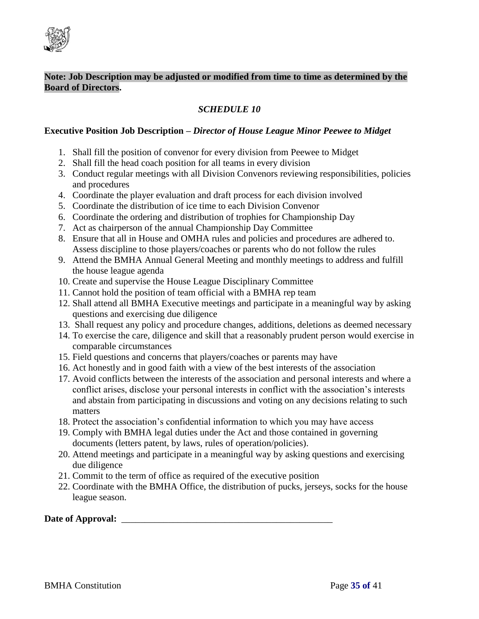

# *SCHEDULE 10*

#### **Executive Position Job Description –** *Director of House League Minor Peewee to Midget*

- 1. Shall fill the position of convenor for every division from Peewee to Midget
- 2. Shall fill the head coach position for all teams in every division
- 3. Conduct regular meetings with all Division Convenors reviewing responsibilities, policies and procedures
- 4. Coordinate the player evaluation and draft process for each division involved
- 5. Coordinate the distribution of ice time to each Division Convenor
- 6. Coordinate the ordering and distribution of trophies for Championship Day
- 7. Act as chairperson of the annual Championship Day Committee
- 8. Ensure that all in House and OMHA rules and policies and procedures are adhered to. Assess discipline to those players/coaches or parents who do not follow the rules
- 9. Attend the BMHA Annual General Meeting and monthly meetings to address and fulfill the house league agenda
- 10. Create and supervise the House League Disciplinary Committee
- 11. Cannot hold the position of team official with a BMHA rep team
- 12. Shall attend all BMHA Executive meetings and participate in a meaningful way by asking questions and exercising due diligence
- 13. Shall request any policy and procedure changes, additions, deletions as deemed necessary
- 14. To exercise the care, diligence and skill that a reasonably prudent person would exercise in comparable circumstances
- 15. Field questions and concerns that players/coaches or parents may have
- 16. Act honestly and in good faith with a view of the best interests of the association
- 17. Avoid conflicts between the interests of the association and personal interests and where a conflict arises, disclose your personal interests in conflict with the association's interests and abstain from participating in discussions and voting on any decisions relating to such matters
- 18. Protect the association's confidential information to which you may have access
- 19. Comply with BMHA legal duties under the Act and those contained in governing documents (letters patent, by laws, rules of operation/policies).
- 20. Attend meetings and participate in a meaningful way by asking questions and exercising due diligence
- 21. Commit to the term of office as required of the executive position
- 22. Coordinate with the BMHA Office, the distribution of pucks, jerseys, socks for the house league season.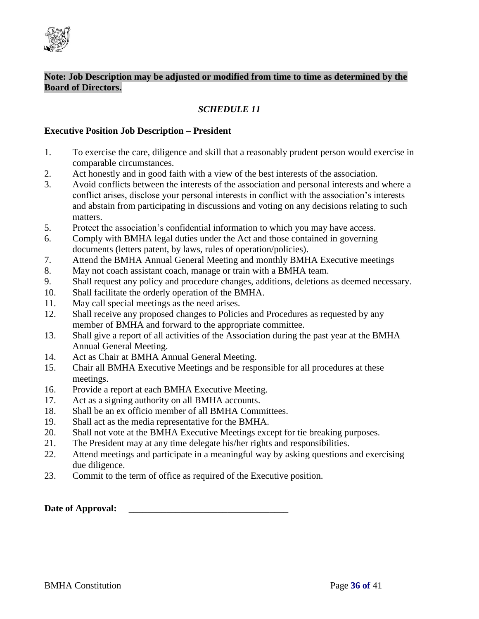

# *SCHEDULE 11*

#### **Executive Position Job Description – President**

- 1. To exercise the care, diligence and skill that a reasonably prudent person would exercise in comparable circumstances.
- 2. Act honestly and in good faith with a view of the best interests of the association.
- 3. Avoid conflicts between the interests of the association and personal interests and where a conflict arises, disclose your personal interests in conflict with the association's interests and abstain from participating in discussions and voting on any decisions relating to such matters.
- 5. Protect the association's confidential information to which you may have access.
- 6. Comply with BMHA legal duties under the Act and those contained in governing documents (letters patent, by laws, rules of operation/policies).
- 7. Attend the BMHA Annual General Meeting and monthly BMHA Executive meetings
- 8. May not coach assistant coach, manage or train with a BMHA team.
- 9. Shall request any policy and procedure changes, additions, deletions as deemed necessary.
- 10. Shall facilitate the orderly operation of the BMHA.
- 11. May call special meetings as the need arises.
- 12. Shall receive any proposed changes to Policies and Procedures as requested by any member of BMHA and forward to the appropriate committee.
- 13. Shall give a report of all activities of the Association during the past year at the BMHA Annual General Meeting.
- 14. Act as Chair at BMHA Annual General Meeting.
- 15. Chair all BMHA Executive Meetings and be responsible for all procedures at these meetings.
- 16. Provide a report at each BMHA Executive Meeting.
- 17. Act as a signing authority on all BMHA accounts.
- 18. Shall be an ex officio member of all BMHA Committees.
- 19. Shall act as the media representative for the BMHA.
- 20. Shall not vote at the BMHA Executive Meetings except for tie breaking purposes.
- 21. The President may at any time delegate his/her rights and responsibilities.
- 22. Attend meetings and participate in a meaningful way by asking questions and exercising due diligence.
- 23. Commit to the term of office as required of the Executive position.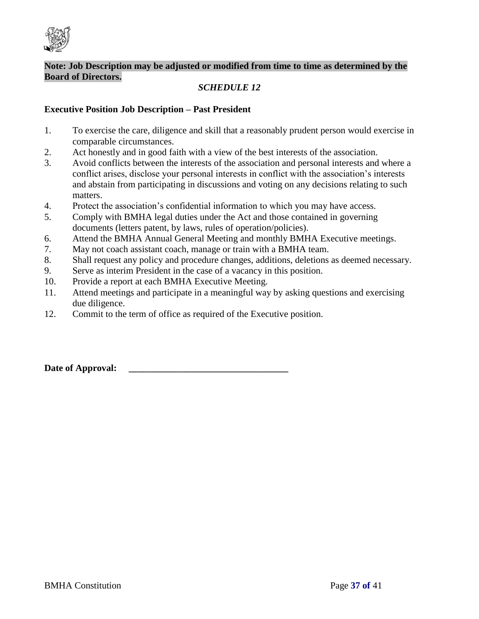

# *SCHEDULE 12*

### **Executive Position Job Description – Past President**

- 1. To exercise the care, diligence and skill that a reasonably prudent person would exercise in comparable circumstances.
- 2. Act honestly and in good faith with a view of the best interests of the association.
- 3. Avoid conflicts between the interests of the association and personal interests and where a conflict arises, disclose your personal interests in conflict with the association's interests and abstain from participating in discussions and voting on any decisions relating to such matters.
- 4. Protect the association's confidential information to which you may have access.
- 5. Comply with BMHA legal duties under the Act and those contained in governing documents (letters patent, by laws, rules of operation/policies).
- 6. Attend the BMHA Annual General Meeting and monthly BMHA Executive meetings.
- 7. May not coach assistant coach, manage or train with a BMHA team.
- 8. Shall request any policy and procedure changes, additions, deletions as deemed necessary.
- 9. Serve as interim President in the case of a vacancy in this position.
- 10. Provide a report at each BMHA Executive Meeting.
- 11. Attend meetings and participate in a meaningful way by asking questions and exercising due diligence.
- 12. Commit to the term of office as required of the Executive position.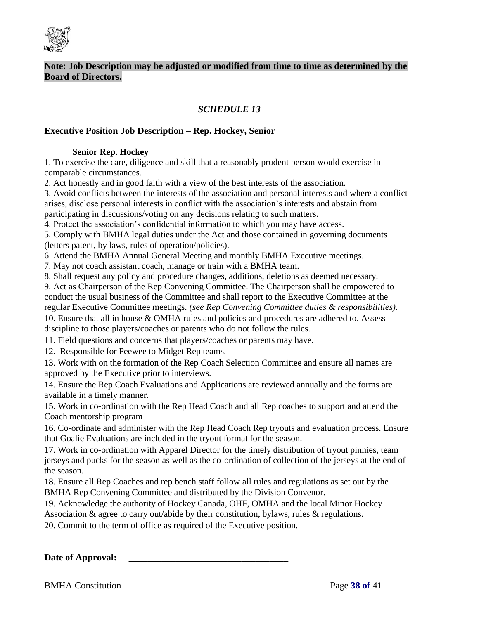

# *SCHEDULE 13*

#### **Executive Position Job Description – Rep. Hockey, Senior**

#### **Senior Rep. Hockey**

1. To exercise the care, diligence and skill that a reasonably prudent person would exercise in comparable circumstances.

2. Act honestly and in good faith with a view of the best interests of the association.

3. Avoid conflicts between the interests of the association and personal interests and where a conflict arises, disclose personal interests in conflict with the association's interests and abstain from participating in discussions/voting on any decisions relating to such matters.

4. Protect the association's confidential information to which you may have access.

5. Comply with BMHA legal duties under the Act and those contained in governing documents (letters patent, by laws, rules of operation/policies).

6. Attend the BMHA Annual General Meeting and monthly BMHA Executive meetings.

7. May not coach assistant coach, manage or train with a BMHA team.

8. Shall request any policy and procedure changes, additions, deletions as deemed necessary.

9. Act as Chairperson of the Rep Convening Committee. The Chairperson shall be empowered to conduct the usual business of the Committee and shall report to the Executive Committee at the regular Executive Committee meetings. *(see Rep Convening Committee duties & responsibilities).*  10. Ensure that all in house & OMHA rules and policies and procedures are adhered to. Assess

discipline to those players/coaches or parents who do not follow the rules.

11. Field questions and concerns that players/coaches or parents may have.

12. Responsible for Peewee to Midget Rep teams.

13. Work with on the formation of the Rep Coach Selection Committee and ensure all names are approved by the Executive prior to interviews.

14. Ensure the Rep Coach Evaluations and Applications are reviewed annually and the forms are available in a timely manner.

15. Work in co-ordination with the Rep Head Coach and all Rep coaches to support and attend the Coach mentorship program

16. Co-ordinate and administer with the Rep Head Coach Rep tryouts and evaluation process. Ensure that Goalie Evaluations are included in the tryout format for the season.

17. Work in co-ordination with Apparel Director for the timely distribution of tryout pinnies, team jerseys and pucks for the season as well as the co-ordination of collection of the jerseys at the end of the season.

18. Ensure all Rep Coaches and rep bench staff follow all rules and regulations as set out by the BMHA Rep Convening Committee and distributed by the Division Convenor.

19. Acknowledge the authority of Hockey Canada, OHF, OMHA and the local Minor Hockey Association & agree to carry out/abide by their constitution, bylaws, rules & regulations.

20. Commit to the term of office as required of the Executive position.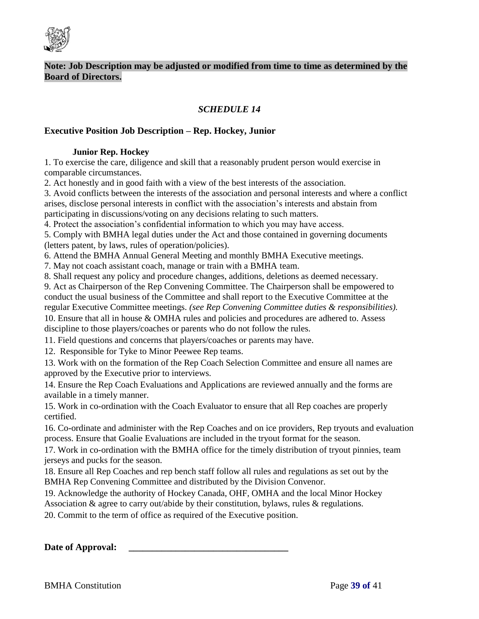

# *SCHEDULE 14*

#### **Executive Position Job Description – Rep. Hockey, Junior**

#### **Junior Rep. Hockey**

1. To exercise the care, diligence and skill that a reasonably prudent person would exercise in comparable circumstances.

2. Act honestly and in good faith with a view of the best interests of the association.

3. Avoid conflicts between the interests of the association and personal interests and where a conflict arises, disclose personal interests in conflict with the association's interests and abstain from participating in discussions/voting on any decisions relating to such matters.

4. Protect the association's confidential information to which you may have access.

5. Comply with BMHA legal duties under the Act and those contained in governing documents (letters patent, by laws, rules of operation/policies).

6. Attend the BMHA Annual General Meeting and monthly BMHA Executive meetings.

7. May not coach assistant coach, manage or train with a BMHA team.

8. Shall request any policy and procedure changes, additions, deletions as deemed necessary.

9. Act as Chairperson of the Rep Convening Committee. The Chairperson shall be empowered to conduct the usual business of the Committee and shall report to the Executive Committee at the regular Executive Committee meetings. *(see Rep Convening Committee duties & responsibilities).*  10. Ensure that all in house & OMHA rules and policies and procedures are adhered to. Assess

discipline to those players/coaches or parents who do not follow the rules.

11. Field questions and concerns that players/coaches or parents may have.

12. Responsible for Tyke to Minor Peewee Rep teams.

13. Work with on the formation of the Rep Coach Selection Committee and ensure all names are approved by the Executive prior to interviews.

14. Ensure the Rep Coach Evaluations and Applications are reviewed annually and the forms are available in a timely manner.

15. Work in co-ordination with the Coach Evaluator to ensure that all Rep coaches are properly certified.

16. Co-ordinate and administer with the Rep Coaches and on ice providers, Rep tryouts and evaluation process. Ensure that Goalie Evaluations are included in the tryout format for the season.

17. Work in co-ordination with the BMHA office for the timely distribution of tryout pinnies, team jerseys and pucks for the season.

18. Ensure all Rep Coaches and rep bench staff follow all rules and regulations as set out by the BMHA Rep Convening Committee and distributed by the Division Convenor.

19. Acknowledge the authority of Hockey Canada, OHF, OMHA and the local Minor Hockey Association & agree to carry out/abide by their constitution, bylaws, rules & regulations.

20. Commit to the term of office as required of the Executive position.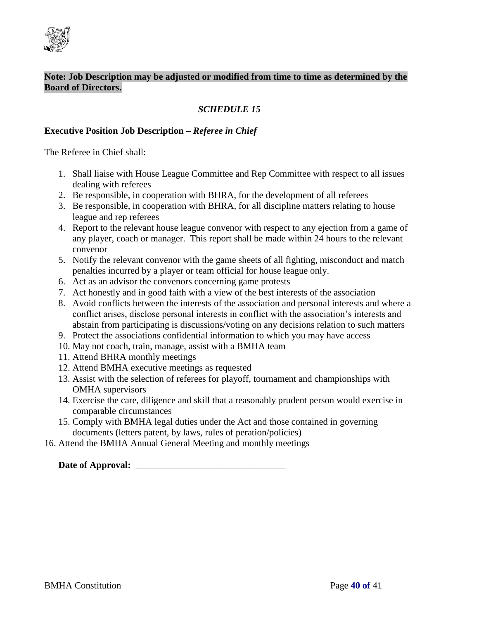

# *SCHEDULE 15*

#### **Executive Position Job Description –** *Referee in Chief*

The Referee in Chief shall:

- 1. Shall liaise with House League Committee and Rep Committee with respect to all issues dealing with referees
- 2. Be responsible, in cooperation with BHRA, for the development of all referees
- 3. Be responsible, in cooperation with BHRA, for all discipline matters relating to house league and rep referees
- 4. Report to the relevant house league convenor with respect to any ejection from a game of any player, coach or manager. This report shall be made within 24 hours to the relevant convenor
- 5. Notify the relevant convenor with the game sheets of all fighting, misconduct and match penalties incurred by a player or team official for house league only.
- 6. Act as an advisor the convenors concerning game protests
- 7. Act honestly and in good faith with a view of the best interests of the association
- 8. Avoid conflicts between the interests of the association and personal interests and where a conflict arises, disclose personal interests in conflict with the association's interests and abstain from participating is discussions/voting on any decisions relation to such matters
- 9. Protect the associations confidential information to which you may have access
- 10. May not coach, train, manage, assist with a BMHA team
- 11. Attend BHRA monthly meetings
- 12. Attend BMHA executive meetings as requested
- 13. Assist with the selection of referees for playoff, tournament and championships with OMHA supervisors
- 14. Exercise the care, diligence and skill that a reasonably prudent person would exercise in comparable circumstances
- 15. Comply with BMHA legal duties under the Act and those contained in governing documents (letters patent, by laws, rules of peration/policies)
- 16. Attend the BMHA Annual General Meeting and monthly meetings